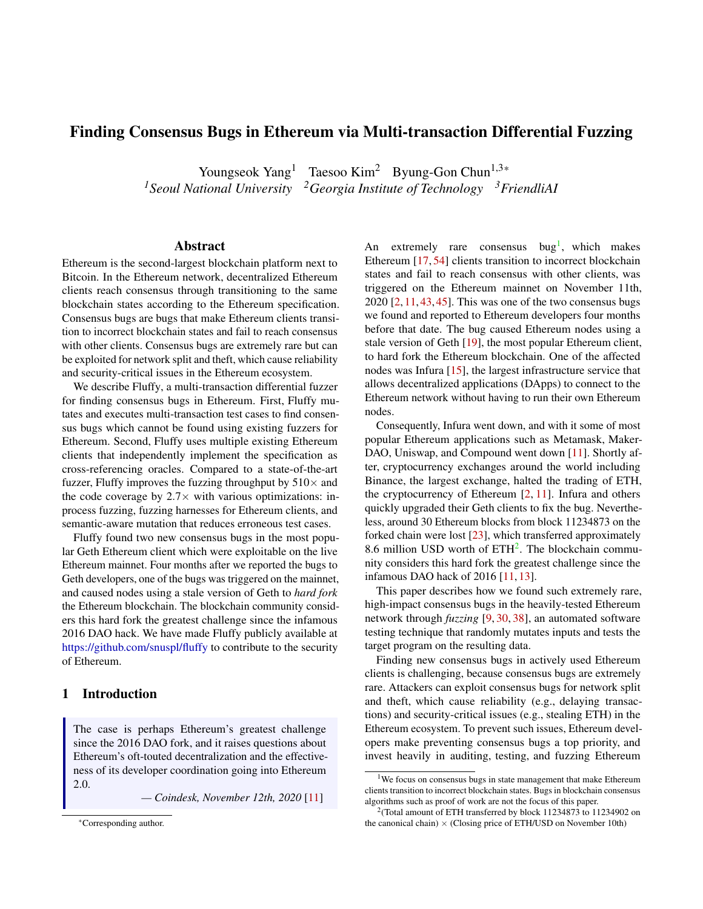# Finding Consensus Bugs in Ethereum via Multi-transaction Differential Fuzzing

Youngseok Yang<sup>1</sup> Taesoo Kim<sup>2</sup> Byung-Gon Chun<sup>1,3\*</sup> *<sup>1</sup>Seoul National University <sup>2</sup>Georgia Institute of Technology <sup>3</sup>FriendliAI*

#### Abstract

Ethereum is the second-largest blockchain platform next to Bitcoin. In the Ethereum network, decentralized Ethereum clients reach consensus through transitioning to the same blockchain states according to the Ethereum specification. Consensus bugs are bugs that make Ethereum clients transition to incorrect blockchain states and fail to reach consensus with other clients. Consensus bugs are extremely rare but can be exploited for network split and theft, which cause reliability and security-critical issues in the Ethereum ecosystem.

We describe Fluffy, a multi-transaction differential fuzzer for finding consensus bugs in Ethereum. First, Fluffy mutates and executes multi-transaction test cases to find consensus bugs which cannot be found using existing fuzzers for Ethereum. Second, Fluffy uses multiple existing Ethereum clients that independently implement the specification as cross-referencing oracles. Compared to a state-of-the-art fuzzer, Fluffy improves the fuzzing throughput by  $510\times$  and the code coverage by  $2.7\times$  with various optimizations: inprocess fuzzing, fuzzing harnesses for Ethereum clients, and semantic-aware mutation that reduces erroneous test cases.

Fluffy found two new consensus bugs in the most popular Geth Ethereum client which were exploitable on the live Ethereum mainnet. Four months after we reported the bugs to Geth developers, one of the bugs was triggered on the mainnet, and caused nodes using a stale version of Geth to *hard fork* the Ethereum blockchain. The blockchain community considers this hard fork the greatest challenge since the infamous 2016 DAO hack. We have made Fluffy publicly available at <https://github.com/snuspl/fluffy> to contribute to the security of Ethereum.

# 1 Introduction

The case is perhaps Ethereum's greatest challenge since the 2016 DAO fork, and it raises questions about Ethereum's oft-touted decentralization and the effectiveness of its developer coordination going into Ethereum 2.0.

*— Coindesk, November 12th, 2020* [\[11\]](#page-13-0)

An extremely rare consensus  $bug<sup>1</sup>$  $bug<sup>1</sup>$  $bug<sup>1</sup>$ , which makes Ethereum [\[17,](#page-14-0) [54\]](#page-15-0) clients transition to incorrect blockchain states and fail to reach consensus with other clients, was triggered on the Ethereum mainnet on November 11th,  $2020$   $[2, 11, 43, 45]$  $[2, 11, 43, 45]$  $[2, 11, 43, 45]$  $[2, 11, 43, 45]$  $[2, 11, 43, 45]$  $[2, 11, 43, 45]$  $[2, 11, 43, 45]$ . This was one of the two consensus bugs we found and reported to Ethereum developers four months before that date. The bug caused Ethereum nodes using a stale version of Geth [\[19\]](#page-14-1), the most popular Ethereum client, to hard fork the Ethereum blockchain. One of the affected nodes was Infura [\[15\]](#page-14-2), the largest infrastructure service that allows decentralized applications (DApps) to connect to the Ethereum network without having to run their own Ethereum nodes.

Consequently, Infura went down, and with it some of most popular Ethereum applications such as Metamask, Maker-DAO, Uniswap, and Compound went down [\[11\]](#page-13-0). Shortly after, cryptocurrency exchanges around the world including Binance, the largest exchange, halted the trading of ETH, the cryptocurrency of Ethereum  $[2, 11]$  $[2, 11]$  $[2, 11]$ . Infura and others quickly upgraded their Geth clients to fix the bug. Nevertheless, around 30 Ethereum blocks from block 11234873 on the forked chain were lost [\[23\]](#page-14-3), which transferred approximately 8.6 million USD worth of  $ETH<sup>2</sup>$  $ETH<sup>2</sup>$  $ETH<sup>2</sup>$ . The blockchain community considers this hard fork the greatest challenge since the infamous DAO hack of 2016 [\[11,](#page-13-0) [13\]](#page-14-4).

This paper describes how we found such extremely rare, high-impact consensus bugs in the heavily-tested Ethereum network through *fuzzing* [\[9,](#page-13-2) [30,](#page-14-5) [38\]](#page-15-3), an automated software testing technique that randomly mutates inputs and tests the target program on the resulting data.

Finding new consensus bugs in actively used Ethereum clients is challenging, because consensus bugs are extremely rare. Attackers can exploit consensus bugs for network split and theft, which cause reliability (e.g., delaying transactions) and security-critical issues (e.g., stealing ETH) in the Ethereum ecosystem. To prevent such issues, Ethereum developers make preventing consensus bugs a top priority, and invest heavily in auditing, testing, and fuzzing Ethereum

<sup>\*</sup>Corresponding author.

<span id="page-0-0"></span><sup>&</sup>lt;sup>1</sup>We focus on consensus bugs in state management that make Ethereum clients transition to incorrect blockchain states. Bugs in blockchain consensus algorithms such as proof of work are not the focus of this paper.

<span id="page-0-1"></span><sup>&</sup>lt;sup>2</sup> (Total amount of ETH transferred by block 11234873 to 11234902 on the canonical chain)  $\times$  (Closing price of ETH/USD on November 10th)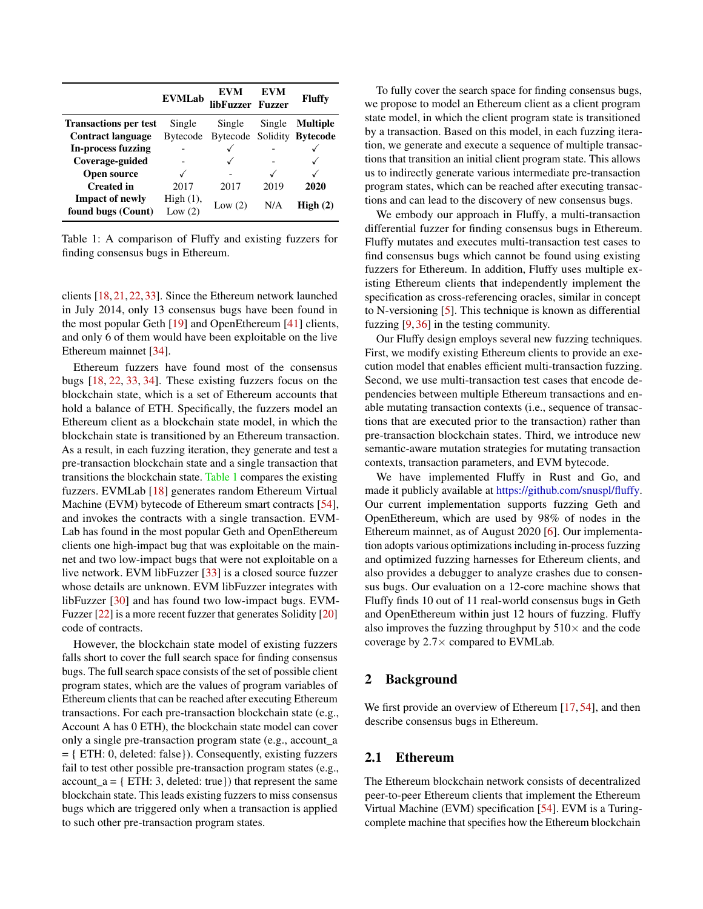<span id="page-1-0"></span>

|                                              | <b>EVMLab</b>         | EVM<br>libFuzzer Fuzzer    | <b>EVM</b> | <b>Fluffy</b>   |
|----------------------------------------------|-----------------------|----------------------------|------------|-----------------|
| <b>Transactions per test</b>                 | Single                | Single                     | Single     | <b>Multiple</b> |
| <b>Contract language</b>                     | <b>Bytecode</b>       | Bytecode Solidity Bytecode |            |                 |
| <b>In-process fuzzing</b>                    |                       |                            |            |                 |
| Coverage-guided                              |                       |                            |            |                 |
| <b>Open source</b>                           |                       |                            |            |                 |
| <b>Created</b> in                            | 2017                  | 2017                       | 2019       | 2020            |
| <b>Impact of newly</b><br>found bugs (Count) | High(1),<br>Low $(2)$ | Low $(2)$                  | N/A        | High(2)         |

Table 1: A comparison of Fluffy and existing fuzzers for finding consensus bugs in Ethereum.

clients [\[18,](#page-14-6) [21,](#page-14-7) [22,](#page-14-8) [33\]](#page-14-9). Since the Ethereum network launched in July 2014, only 13 consensus bugs have been found in the most popular Geth [\[19\]](#page-14-1) and OpenEthereum [\[41\]](#page-15-4) clients, and only 6 of them would have been exploitable on the live Ethereum mainnet [\[34\]](#page-15-5).

Ethereum fuzzers have found most of the consensus bugs [\[18,](#page-14-6) [22,](#page-14-8) [33,](#page-14-9) [34\]](#page-15-5). These existing fuzzers focus on the blockchain state, which is a set of Ethereum accounts that hold a balance of ETH. Specifically, the fuzzers model an Ethereum client as a blockchain state model, in which the blockchain state is transitioned by an Ethereum transaction. As a result, in each fuzzing iteration, they generate and test a pre-transaction blockchain state and a single transaction that transitions the blockchain state. [Table 1](#page-1-0) compares the existing fuzzers. EVMLab [\[18\]](#page-14-6) generates random Ethereum Virtual Machine (EVM) bytecode of Ethereum smart contracts [\[54\]](#page-15-0), and invokes the contracts with a single transaction. EVM-Lab has found in the most popular Geth and OpenEthereum clients one high-impact bug that was exploitable on the mainnet and two low-impact bugs that were not exploitable on a live network. EVM libFuzzer [\[33\]](#page-14-9) is a closed source fuzzer whose details are unknown. EVM libFuzzer integrates with libFuzzer [\[30\]](#page-14-5) and has found two low-impact bugs. EVM-Fuzzer [\[22\]](#page-14-8) is a more recent fuzzer that generates Solidity [\[20\]](#page-14-10) code of contracts.

However, the blockchain state model of existing fuzzers falls short to cover the full search space for finding consensus bugs. The full search space consists of the set of possible client program states, which are the values of program variables of Ethereum clients that can be reached after executing Ethereum transactions. For each pre-transaction blockchain state (e.g., Account A has 0 ETH), the blockchain state model can cover only a single pre-transaction program state (e.g., account\_a = { ETH: 0, deleted: false}). Consequently, existing fuzzers fail to test other possible pre-transaction program states (e.g., account  $a = \{ ETH: 3, deleted: true \}$  that represent the same blockchain state. This leads existing fuzzers to miss consensus bugs which are triggered only when a transaction is applied to such other pre-transaction program states.

To fully cover the search space for finding consensus bugs, we propose to model an Ethereum client as a client program state model, in which the client program state is transitioned by a transaction. Based on this model, in each fuzzing iteration, we generate and execute a sequence of multiple transactions that transition an initial client program state. This allows us to indirectly generate various intermediate pre-transaction program states, which can be reached after executing transactions and can lead to the discovery of new consensus bugs.

We embody our approach in Fluffy, a multi-transaction differential fuzzer for finding consensus bugs in Ethereum. Fluffy mutates and executes multi-transaction test cases to find consensus bugs which cannot be found using existing fuzzers for Ethereum. In addition, Fluffy uses multiple existing Ethereum clients that independently implement the specification as cross-referencing oracles, similar in concept to N-versioning [\[5\]](#page-13-3). This technique is known as differential fuzzing [\[9,](#page-13-2) [36\]](#page-15-6) in the testing community.

Our Fluffy design employs several new fuzzing techniques. First, we modify existing Ethereum clients to provide an execution model that enables efficient multi-transaction fuzzing. Second, we use multi-transaction test cases that encode dependencies between multiple Ethereum transactions and enable mutating transaction contexts (i.e., sequence of transactions that are executed prior to the transaction) rather than pre-transaction blockchain states. Third, we introduce new semantic-aware mutation strategies for mutating transaction contexts, transaction parameters, and EVM bytecode.

We have implemented Fluffy in Rust and Go, and made it publicly available at [https://github.com/snuspl/fluffy.](https://github.com/snuspl/fluffy) Our current implementation supports fuzzing Geth and OpenEthereum, which are used by 98% of nodes in the Ethereum mainnet, as of August 2020 [\[6\]](#page-13-4). Our implementation adopts various optimizations including in-process fuzzing and optimized fuzzing harnesses for Ethereum clients, and also provides a debugger to analyze crashes due to consensus bugs. Our evaluation on a 12-core machine shows that Fluffy finds 10 out of 11 real-world consensus bugs in Geth and OpenEthereum within just 12 hours of fuzzing. Fluffy also improves the fuzzing throughput by  $510\times$  and the code coverage by  $2.7\times$  compared to EVMLab.

#### 2 Background

We first provide an overview of Ethereum [\[17,](#page-14-0) [54\]](#page-15-0), and then describe consensus bugs in Ethereum.

#### 2.1 Ethereum

The Ethereum blockchain network consists of decentralized peer-to-peer Ethereum clients that implement the Ethereum Virtual Machine (EVM) specification [\[54\]](#page-15-0). EVM is a Turingcomplete machine that specifies how the Ethereum blockchain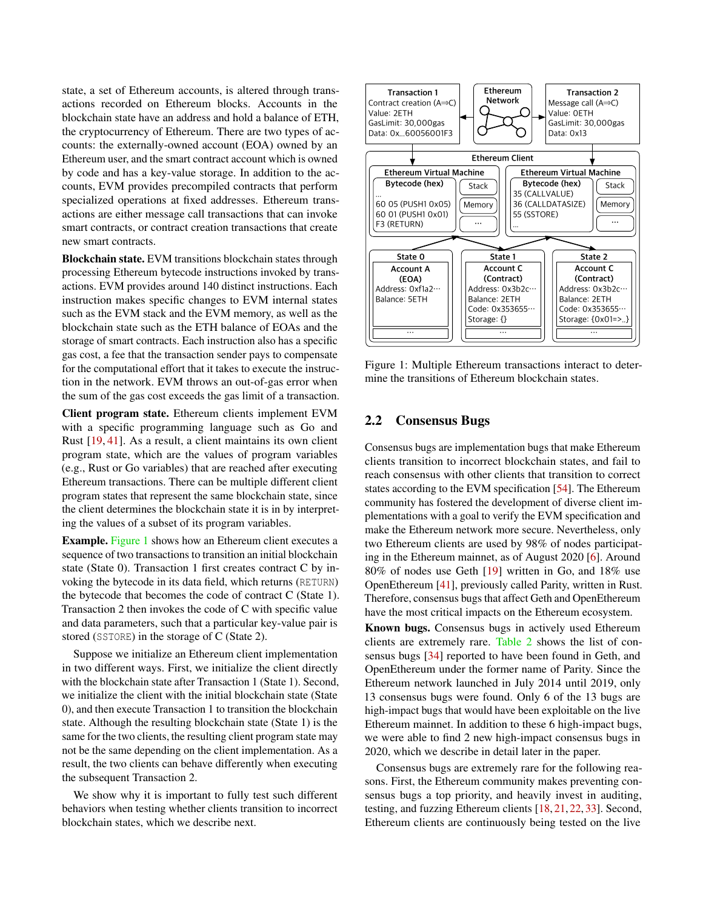state, a set of Ethereum accounts, is altered through transactions recorded on Ethereum blocks. Accounts in the blockchain state have an address and hold a balance of ETH, the cryptocurrency of Ethereum. There are two types of accounts: the externally-owned account (EOA) owned by an Ethereum user, and the smart contract account which is owned by code and has a key-value storage. In addition to the accounts, EVM provides precompiled contracts that perform specialized operations at fixed addresses. Ethereum transactions are either message call transactions that can invoke smart contracts, or contract creation transactions that create new smart contracts.

Blockchain state. EVM transitions blockchain states through processing Ethereum bytecode instructions invoked by transactions. EVM provides around 140 distinct instructions. Each instruction makes specific changes to EVM internal states such as the EVM stack and the EVM memory, as well as the blockchain state such as the ETH balance of EOAs and the storage of smart contracts. Each instruction also has a specific gas cost, a fee that the transaction sender pays to compensate for the computational effort that it takes to execute the instruction in the network. EVM throws an out-of-gas error when the sum of the gas cost exceeds the gas limit of a transaction.

Client program state. Ethereum clients implement EVM with a specific programming language such as Go and Rust [\[19,](#page-14-1) [41\]](#page-15-4). As a result, a client maintains its own client program state, which are the values of program variables (e.g., Rust or Go variables) that are reached after executing Ethereum transactions. There can be multiple different client program states that represent the same blockchain state, since the client determines the blockchain state it is in by interpreting the values of a subset of its program variables.

Example. [Figure 1](#page-2-0) shows how an Ethereum client executes a sequence of two transactions to transition an initial blockchain state (State 0). Transaction 1 first creates contract C by invoking the bytecode in its data field, which returns (RETURN) the bytecode that becomes the code of contract C (State 1). Transaction 2 then invokes the code of C with specific value and data parameters, such that a particular key-value pair is stored (SSTORE) in the storage of C (State 2).

Suppose we initialize an Ethereum client implementation in two different ways. First, we initialize the client directly with the blockchain state after Transaction 1 (State 1). Second, we initialize the client with the initial blockchain state (State 0), and then execute Transaction 1 to transition the blockchain state. Although the resulting blockchain state (State 1) is the same for the two clients, the resulting client program state may not be the same depending on the client implementation. As a result, the two clients can behave differently when executing the subsequent Transaction 2.

We show why it is important to fully test such different behaviors when testing whether clients transition to incorrect blockchain states, which we describe next.

<span id="page-2-0"></span>

Figure 1: Multiple Ethereum transactions interact to determine the transitions of Ethereum blockchain states.

### 2.2 Consensus Bugs

Consensus bugs are implementation bugs that make Ethereum clients transition to incorrect blockchain states, and fail to reach consensus with other clients that transition to correct states according to the EVM specification [\[54\]](#page-15-0). The Ethereum community has fostered the development of diverse client implementations with a goal to verify the EVM specification and make the Ethereum network more secure. Nevertheless, only two Ethereum clients are used by 98% of nodes participating in the Ethereum mainnet, as of August 2020 [\[6\]](#page-13-4). Around 80% of nodes use Geth [\[19\]](#page-14-1) written in Go, and 18% use OpenEthereum [\[41\]](#page-15-4), previously called Parity, written in Rust. Therefore, consensus bugs that affect Geth and OpenEthereum have the most critical impacts on the Ethereum ecosystem.

Known bugs. Consensus bugs in actively used Ethereum clients are extremely rare. [Table 2](#page-3-0) shows the list of consensus bugs [\[34\]](#page-15-5) reported to have been found in Geth, and OpenEthereum under the former name of Parity. Since the Ethereum network launched in July 2014 until 2019, only 13 consensus bugs were found. Only 6 of the 13 bugs are high-impact bugs that would have been exploitable on the live Ethereum mainnet. In addition to these 6 high-impact bugs, we were able to find 2 new high-impact consensus bugs in 2020, which we describe in detail later in the paper.

Consensus bugs are extremely rare for the following reasons. First, the Ethereum community makes preventing consensus bugs a top priority, and heavily invest in auditing, testing, and fuzzing Ethereum clients [\[18,](#page-14-6) [21,](#page-14-7) [22,](#page-14-8) [33\]](#page-14-9). Second, Ethereum clients are continuously being tested on the live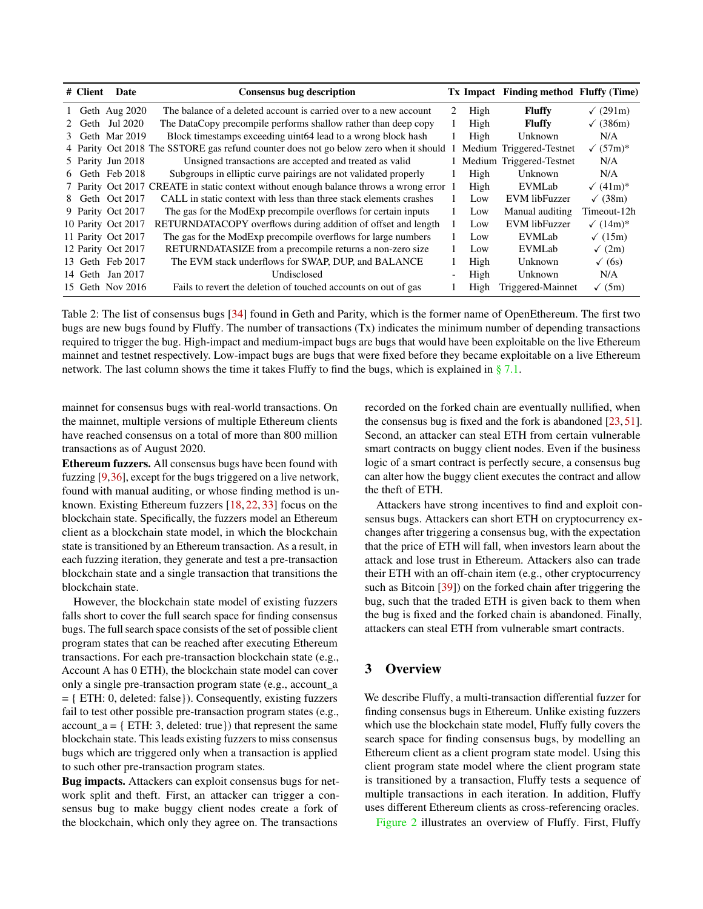<span id="page-3-0"></span>

| # Client | Date               | <b>Consensus bug description</b>                                                         |   |      | Tx Impact Finding method Fluffy (Time) |                  |
|----------|--------------------|------------------------------------------------------------------------------------------|---|------|----------------------------------------|------------------|
|          | 1 Geth Aug 2020    | The balance of a deleted account is carried over to a new account                        | 2 | High | <b>Fluffy</b>                          | $\sqrt{(291m)}$  |
|          | 2 Geth Jul 2020    | The DataCopy precompile performs shallow rather than deep copy                           |   | High | <b>Fluffy</b>                          | $\sqrt{(386m)}$  |
|          | 3 Geth Mar 2019    | Block timestamps exceeding uint 64 lead to a wrong block hash                            |   | High | Unknown                                | N/A              |
|          |                    | 4 Parity Oct 2018 The SSTORE gas refund counter does not go below zero when it should    |   |      | Medium Triggered-Testnet               | $\sqrt{(57m)^*}$ |
|          | 5 Parity Jun 2018  | Unsigned transactions are accepted and treated as valid                                  |   |      | Medium Triggered-Testnet               | N/A              |
|          | 6 Geth Feb 2018    | Subgroups in elliptic curve pairings are not validated properly                          |   | High | Unknown                                | N/A              |
|          |                    | 7 Parity Oct 2017 CREATE in static context without enough balance throws a wrong error 1 |   | High | EVMLab                                 | $\sqrt{(41m)^*}$ |
|          | 8 Geth Oct 2017    | CALL in static context with less than three stack elements crashes                       |   | Low  | EVM libFuzzer                          | $\sqrt{(38m)}$   |
|          | 9 Parity Oct 2017  | The gas for the ModExp precompile overflows for certain inputs                           |   | Low  | Manual auditing                        | Timeout-12h      |
|          | 10 Parity Oct 2017 | RETURNDATACOPY overflows during addition of offset and length                            |   | Low  | EVM libFuzzer                          | $\sqrt{(14m)^*}$ |
|          | 11 Parity Oct 2017 | The gas for the ModExp precompile overflows for large numbers                            |   | Low  | EVMLab                                 | $\sqrt{(15m)}$   |
|          | 12 Parity Oct 2017 | RETURNDATASIZE from a precompile returns a non-zero size                                 |   | Low  | EVMLab                                 | $\sqrt{(2m)}$    |
|          | 13 Geth Feb 2017   | The EVM stack underflows for SWAP, DUP, and BALANCE                                      |   | High | Unknown                                | $\sqrt{(6s)}$    |
|          | 14 Geth Jan 2017   | Undisclosed                                                                              |   | High | Unknown                                | N/A              |
|          | 15 Geth Nov 2016   | Fails to revert the deletion of touched accounts on out of gas                           |   | High | Triggered-Mainnet                      | $\sqrt{(5m)}$    |

Table 2: The list of consensus bugs [\[34\]](#page-15-5) found in Geth and Parity, which is the former name of OpenEthereum. The first two bugs are new bugs found by Fluffy. The number of transactions (Tx) indicates the minimum number of depending transactions required to trigger the bug. High-impact and medium-impact bugs are bugs that would have been exploitable on the live Ethereum mainnet and testnet respectively. Low-impact bugs are bugs that were fixed before they became exploitable on a live Ethereum network. The last column shows the time it takes Fluffy to find the bugs, which is explained in  $\S 7.1$ .

mainnet for consensus bugs with real-world transactions. On the mainnet, multiple versions of multiple Ethereum clients have reached consensus on a total of more than 800 million transactions as of August 2020.

Ethereum fuzzers. All consensus bugs have been found with fuzzing [\[9,](#page-13-2)[36\]](#page-15-6), except for the bugs triggered on a live network, found with manual auditing, or whose finding method is unknown. Existing Ethereum fuzzers [\[18,](#page-14-6) [22,](#page-14-8) [33\]](#page-14-9) focus on the blockchain state. Specifically, the fuzzers model an Ethereum client as a blockchain state model, in which the blockchain state is transitioned by an Ethereum transaction. As a result, in each fuzzing iteration, they generate and test a pre-transaction blockchain state and a single transaction that transitions the blockchain state.

However, the blockchain state model of existing fuzzers falls short to cover the full search space for finding consensus bugs. The full search space consists of the set of possible client program states that can be reached after executing Ethereum transactions. For each pre-transaction blockchain state (e.g., Account A has 0 ETH), the blockchain state model can cover only a single pre-transaction program state (e.g., account\_a = { ETH: 0, deleted: false}). Consequently, existing fuzzers fail to test other possible pre-transaction program states (e.g.,  $account_a = { ETH: 3, deleted: true}$ ) that represent the same blockchain state. This leads existing fuzzers to miss consensus bugs which are triggered only when a transaction is applied to such other pre-transaction program states.

Bug impacts. Attackers can exploit consensus bugs for network split and theft. First, an attacker can trigger a consensus bug to make buggy client nodes create a fork of the blockchain, which only they agree on. The transactions

recorded on the forked chain are eventually nullified, when the consensus bug is fixed and the fork is abandoned [\[23,](#page-14-3) [51\]](#page-15-7). Second, an attacker can steal ETH from certain vulnerable smart contracts on buggy client nodes. Even if the business logic of a smart contract is perfectly secure, a consensus bug can alter how the buggy client executes the contract and allow the theft of ETH.

Attackers have strong incentives to find and exploit consensus bugs. Attackers can short ETH on cryptocurrency exchanges after triggering a consensus bug, with the expectation that the price of ETH will fall, when investors learn about the attack and lose trust in Ethereum. Attackers also can trade their ETH with an off-chain item (e.g., other cryptocurrency such as Bitcoin [\[39\]](#page-15-8)) on the forked chain after triggering the bug, such that the traded ETH is given back to them when the bug is fixed and the forked chain is abandoned. Finally, attackers can steal ETH from vulnerable smart contracts.

## 3 Overview

We describe Fluffy, a multi-transaction differential fuzzer for finding consensus bugs in Ethereum. Unlike existing fuzzers which use the blockchain state model, Fluffy fully covers the search space for finding consensus bugs, by modelling an Ethereum client as a client program state model. Using this client program state model where the client program state is transitioned by a transaction, Fluffy tests a sequence of multiple transactions in each iteration. In addition, Fluffy uses different Ethereum clients as cross-referencing oracles.

[Figure 2](#page-4-0) illustrates an overview of Fluffy. First, Fluffy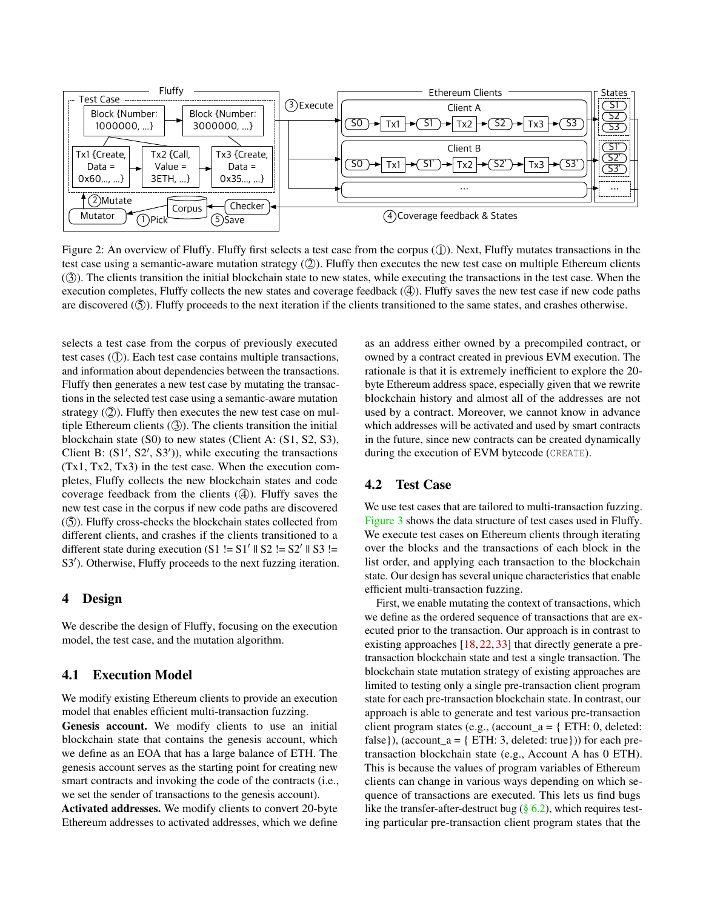<span id="page-4-0"></span>

Figure 2: An overview of Fluffy. Fluffy first selects a test case from the corpus  $(\mathbb{I})$ . Next, Fluffy mutates transactions in the test case using a semantic-aware mutation strategy (2). Fluffy then executes the new test case on multiple Ethereum clients ( 3 ). The clients transition the initial blockchain state to new states, while executing the transactions in the test case. When the execution completes, Fluffy collects the new states and coverage feedback  $(\mathcal{A})$ . Fluffy saves the new test case if new code paths are discovered  $(\textcircled{S})$ . Fluffy proceeds to the next iteration if the clients transitioned to the same states, and crashes otherwise.

selects a test case from the corpus of previously executed test cases  $(1)$ ). Each test case contains multiple transactions, and information about dependencies between the transactions. Fluffy then generates a new test case by mutating the transactions in the selected test case using a semantic-aware mutation strategy  $(2)$ ). Fluffy then executes the new test case on multiple Ethereum clients  $(3)$ ). The clients transition the initial blockchain state (S0) to new states (Client A: (S1, S2, S3), Client B:  $(S1', S2', S3')$ , while executing the transactions (Tx1, Tx2, Tx3) in the test case. When the execution completes, Fluffy collects the new blockchain states and code coverage feedback from the clients  $(4)$ ). Fluffy saves the new test case in the corpus if new code paths are discovered ( 5 ). Fluffy cross-checks the blockchain states collected from different clients, and crashes if the clients transitioned to a different state during execution  $(S1 \leq S1' \leq S2' \leq S2' \leq S3 \leq N$ S3'). Otherwise, Fluffy proceeds to the next fuzzing iteration.

### 4 Design

We describe the design of Fluffy, focusing on the execution model, the test case, and the mutation algorithm.

## 4.1 Execution Model

We modify existing Ethereum clients to provide an execution model that enables efficient multi-transaction fuzzing.

Genesis account. We modify clients to use an initial blockchain state that contains the genesis account, which we define as an EOA that has a large balance of ETH. The genesis account serves as the starting point for creating new smart contracts and invoking the code of the contracts (i.e., we set the sender of transactions to the genesis account).

Activated addresses. We modify clients to convert 20-byte Ethereum addresses to activated addresses, which we define as an address either owned by a precompiled contract, or owned by a contract created in previous EVM execution. The rationale is that it is extremely inefficient to explore the 20 byte Ethereum address space, especially given that we rewrite blockchain history and almost all of the addresses are not used by a contract. Moreover, we cannot know in advance which addresses will be activated and used by smart contracts in the future, since new contracts can be created dynamically during the execution of EVM bytecode (CREATE).

#### 4.2 Test Case

We use test cases that are tailored to multi-transaction fuzzing. [Figure 3](#page-5-0) shows the data structure of test cases used in Fluffy. We execute test cases on Ethereum clients through iterating over the blocks and the transactions of each block in the list order, and applying each transaction to the blockchain state. Our design has several unique characteristics that enable efficient multi-transaction fuzzing.

First, we enable mutating the context of transactions, which we define as the ordered sequence of transactions that are executed prior to the transaction. Our approach is in contrast to existing approaches [\[18,](#page-14-6) [22,](#page-14-8) [33\]](#page-14-9) that directly generate a pretransaction blockchain state and test a single transaction. The blockchain state mutation strategy of existing approaches are limited to testing only a single pre-transaction client program state for each pre-transaction blockchain state. In contrast, our approach is able to generate and test various pre-transaction client program states (e.g., (account  $a = \{ ETH: 0, \text{ deleted} \}$ ) false}), (account\_a = { ETH: 3, deleted: true})) for each pretransaction blockchain state (e.g., Account A has 0 ETH). This is because the values of program variables of Ethereum clients can change in various ways depending on which sequence of transactions are executed. This lets us find bugs like the transfer-after-destruct bug  $(\S 6.2)$ , which requires testing particular pre-transaction client program states that the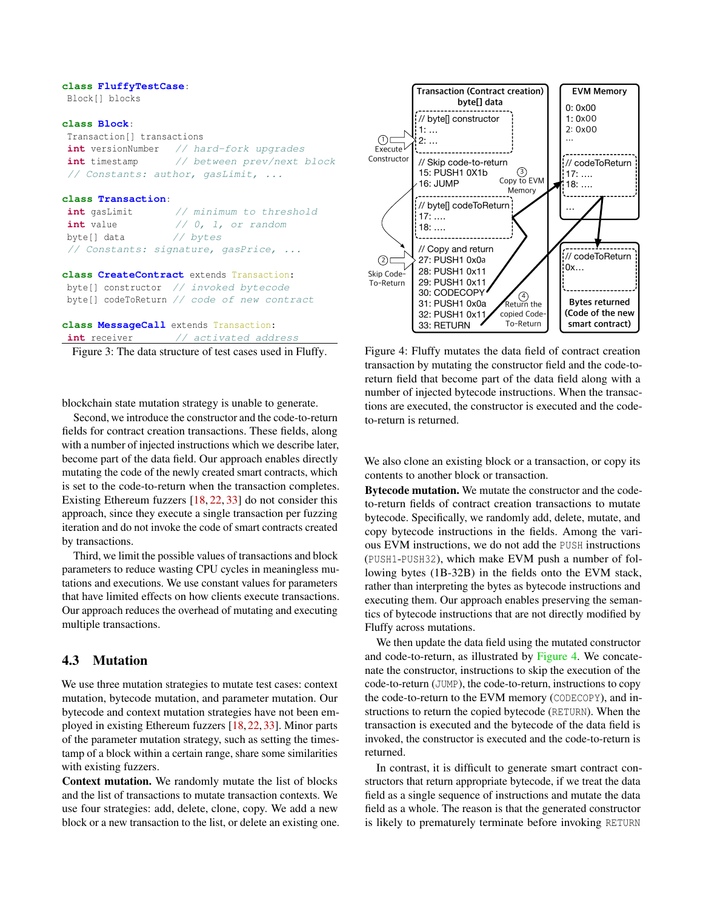#### <span id="page-5-0"></span>**class FluffyTestCase**:

Block[] blocks

#### **class Block**:

Transaction[] transactions **int** versionNumber // hard-fork upgrades **int** timestamp // between prev/next block // Constants: author, gasLimit, ...

#### **class Transaction**:

| int gasLimit | // minimum to threshold            |
|--------------|------------------------------------|
| int value    | // 0, 1, or random                 |
| byte[] data  | // bytes                           |
|              | // Constants: signature, gasPrice, |

#### **class CreateContract** extends Transaction:

byte[] constructor // invoked bytecode byte[] codeToReturn // code of new contract

#### **class MessageCall** extends Transaction:

int receiver // activated address

Figure 3: The data structure of test cases used in Fluffy.

blockchain state mutation strategy is unable to generate.

Second, we introduce the constructor and the code-to-return fields for contract creation transactions. These fields, along with a number of injected instructions which we describe later, become part of the data field. Our approach enables directly mutating the code of the newly created smart contracts, which is set to the code-to-return when the transaction completes. Existing Ethereum fuzzers [\[18,](#page-14-6) [22,](#page-14-8) [33\]](#page-14-9) do not consider this approach, since they execute a single transaction per fuzzing iteration and do not invoke the code of smart contracts created by transactions.

Third, we limit the possible values of transactions and block parameters to reduce wasting CPU cycles in meaningless mutations and executions. We use constant values for parameters that have limited effects on how clients execute transactions. Our approach reduces the overhead of mutating and executing multiple transactions.

#### <span id="page-5-2"></span>4.3 Mutation

We use three mutation strategies to mutate test cases: context mutation, bytecode mutation, and parameter mutation. Our bytecode and context mutation strategies have not been employed in existing Ethereum fuzzers [\[18,](#page-14-6) [22,](#page-14-8) [33\]](#page-14-9). Minor parts of the parameter mutation strategy, such as setting the timestamp of a block within a certain range, share some similarities with existing fuzzers.

Context mutation. We randomly mutate the list of blocks and the list of transactions to mutate transaction contexts. We use four strategies: add, delete, clone, copy. We add a new block or a new transaction to the list, or delete an existing one.

<span id="page-5-1"></span>

Figure 4: Fluffy mutates the data field of contract creation transaction by mutating the constructor field and the code-toreturn field that become part of the data field along with a number of injected bytecode instructions. When the transactions are executed, the constructor is executed and the codeto-return is returned.

We also clone an existing block or a transaction, or copy its contents to another block or transaction.

Bytecode mutation. We mutate the constructor and the codeto-return fields of contract creation transactions to mutate bytecode. Specifically, we randomly add, delete, mutate, and copy bytecode instructions in the fields. Among the various EVM instructions, we do not add the PUSH instructions (PUSH1-PUSH32), which make EVM push a number of following bytes (1B-32B) in the fields onto the EVM stack, rather than interpreting the bytes as bytecode instructions and executing them. Our approach enables preserving the semantics of bytecode instructions that are not directly modified by Fluffy across mutations.

We then update the data field using the mutated constructor and code-to-return, as illustrated by [Figure 4.](#page-5-1) We concatenate the constructor, instructions to skip the execution of the code-to-return (JUMP), the code-to-return, instructions to copy the code-to-return to the EVM memory (CODECOPY), and instructions to return the copied bytecode (RETURN). When the transaction is executed and the bytecode of the data field is invoked, the constructor is executed and the code-to-return is returned.

In contrast, it is difficult to generate smart contract constructors that return appropriate bytecode, if we treat the data field as a single sequence of instructions and mutate the data field as a whole. The reason is that the generated constructor is likely to prematurely terminate before invoking RETURN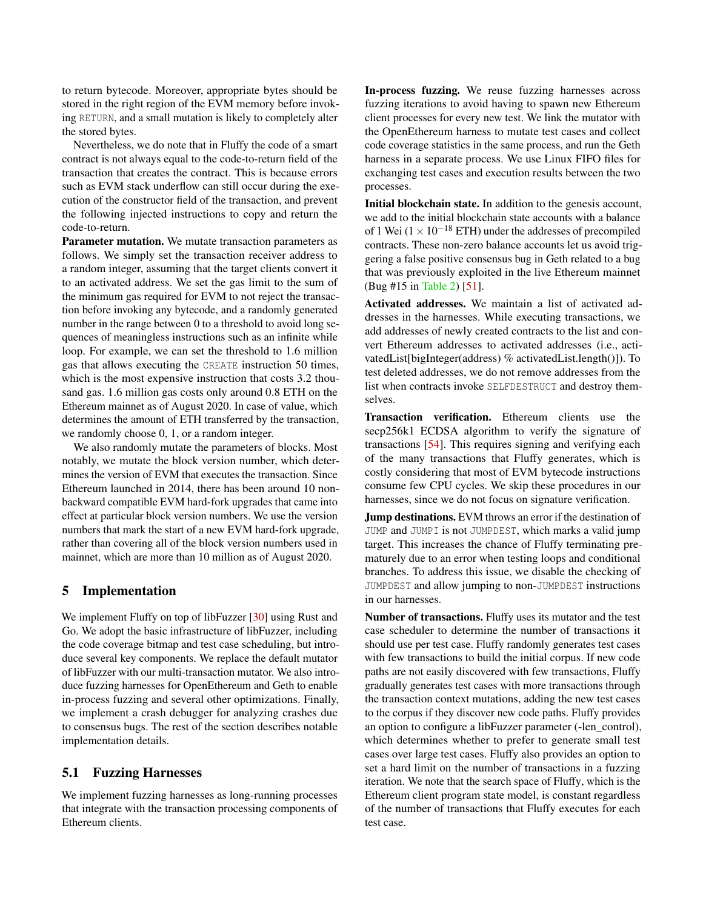to return bytecode. Moreover, appropriate bytes should be stored in the right region of the EVM memory before invoking RETURN, and a small mutation is likely to completely alter the stored bytes.

Nevertheless, we do note that in Fluffy the code of a smart contract is not always equal to the code-to-return field of the transaction that creates the contract. This is because errors such as EVM stack underflow can still occur during the execution of the constructor field of the transaction, and prevent the following injected instructions to copy and return the code-to-return.

Parameter mutation. We mutate transaction parameters as follows. We simply set the transaction receiver address to a random integer, assuming that the target clients convert it to an activated address. We set the gas limit to the sum of the minimum gas required for EVM to not reject the transaction before invoking any bytecode, and a randomly generated number in the range between 0 to a threshold to avoid long sequences of meaningless instructions such as an infinite while loop. For example, we can set the threshold to 1.6 million gas that allows executing the CREATE instruction 50 times, which is the most expensive instruction that costs 3.2 thousand gas. 1.6 million gas costs only around 0.8 ETH on the Ethereum mainnet as of August 2020. In case of value, which determines the amount of ETH transferred by the transaction, we randomly choose 0, 1, or a random integer.

We also randomly mutate the parameters of blocks. Most notably, we mutate the block version number, which determines the version of EVM that executes the transaction. Since Ethereum launched in 2014, there has been around 10 nonbackward compatible EVM hard-fork upgrades that came into effect at particular block version numbers. We use the version numbers that mark the start of a new EVM hard-fork upgrade, rather than covering all of the block version numbers used in mainnet, which are more than 10 million as of August 2020.

## 5 Implementation

We implement Fluffy on top of libFuzzer [\[30\]](#page-14-5) using Rust and Go. We adopt the basic infrastructure of libFuzzer, including the code coverage bitmap and test case scheduling, but introduce several key components. We replace the default mutator of libFuzzer with our multi-transaction mutator. We also introduce fuzzing harnesses for OpenEthereum and Geth to enable in-process fuzzing and several other optimizations. Finally, we implement a crash debugger for analyzing crashes due to consensus bugs. The rest of the section describes notable implementation details.

## <span id="page-6-0"></span>5.1 Fuzzing Harnesses

We implement fuzzing harnesses as long-running processes that integrate with the transaction processing components of Ethereum clients.

In-process fuzzing. We reuse fuzzing harnesses across fuzzing iterations to avoid having to spawn new Ethereum client processes for every new test. We link the mutator with the OpenEthereum harness to mutate test cases and collect code coverage statistics in the same process, and run the Geth harness in a separate process. We use Linux FIFO files for exchanging test cases and execution results between the two processes.

Initial blockchain state. In addition to the genesis account, we add to the initial blockchain state accounts with a balance of 1 Wei ( $1 \times 10^{-18}$  ETH) under the addresses of precompiled contracts. These non-zero balance accounts let us avoid triggering a false positive consensus bug in Geth related to a bug that was previously exploited in the live Ethereum mainnet (Bug #15 in [Table 2\)](#page-3-0) [\[51\]](#page-15-7).

Activated addresses. We maintain a list of activated addresses in the harnesses. While executing transactions, we add addresses of newly created contracts to the list and convert Ethereum addresses to activated addresses (i.e., activatedList[bigInteger(address) % activatedList.length()]). To test deleted addresses, we do not remove addresses from the list when contracts invoke SELFDESTRUCT and destroy themselves.

Transaction verification. Ethereum clients use the secp256k1 ECDSA algorithm to verify the signature of transactions [\[54\]](#page-15-0). This requires signing and verifying each of the many transactions that Fluffy generates, which is costly considering that most of EVM bytecode instructions consume few CPU cycles. We skip these procedures in our harnesses, since we do not focus on signature verification.

Jump destinations. EVM throws an error if the destination of JUMP and JUMPI is not JUMPDEST, which marks a valid jump target. This increases the chance of Fluffy terminating prematurely due to an error when testing loops and conditional branches. To address this issue, we disable the checking of JUMPDEST and allow jumping to non-JUMPDEST instructions in our harnesses.

Number of transactions. Fluffy uses its mutator and the test case scheduler to determine the number of transactions it should use per test case. Fluffy randomly generates test cases with few transactions to build the initial corpus. If new code paths are not easily discovered with few transactions, Fluffy gradually generates test cases with more transactions through the transaction context mutations, adding the new test cases to the corpus if they discover new code paths. Fluffy provides an option to configure a libFuzzer parameter (-len\_control), which determines whether to prefer to generate small test cases over large test cases. Fluffy also provides an option to set a hard limit on the number of transactions in a fuzzing iteration. We note that the search space of Fluffy, which is the Ethereum client program state model, is constant regardless of the number of transactions that Fluffy executes for each test case.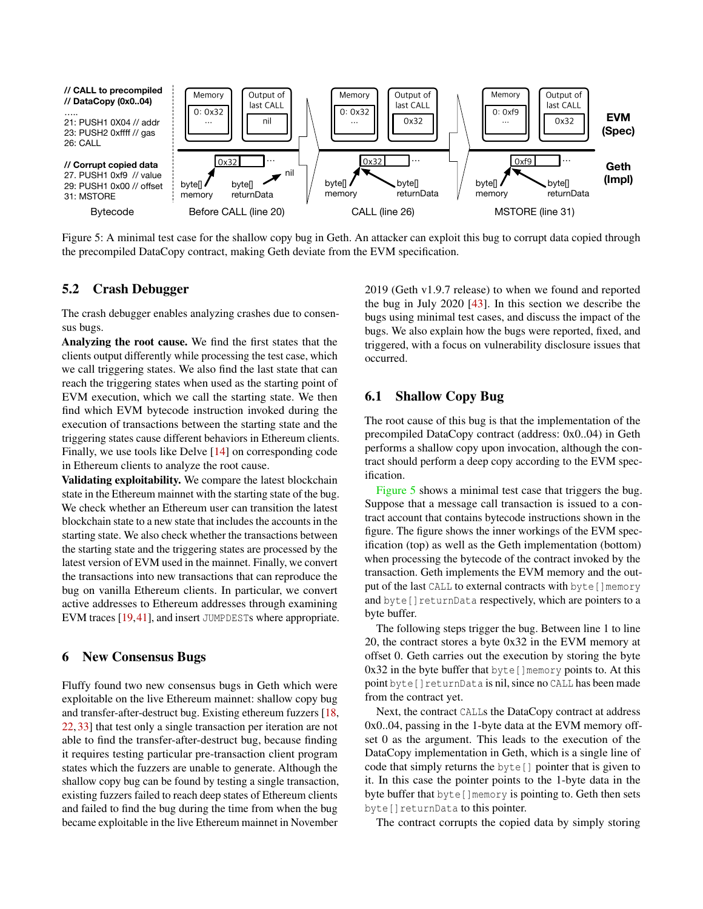<span id="page-7-0"></span>

Figure 5: A minimal test case for the shallow copy bug in Geth. An attacker can exploit this bug to corrupt data copied through the precompiled DataCopy contract, making Geth deviate from the EVM specification.

### 5.2 Crash Debugger

The crash debugger enables analyzing crashes due to consensus bugs.

Analyzing the root cause. We find the first states that the clients output differently while processing the test case, which we call triggering states. We also find the last state that can reach the triggering states when used as the starting point of EVM execution, which we call the starting state. We then find which EVM bytecode instruction invoked during the execution of transactions between the starting state and the triggering states cause different behaviors in Ethereum clients. Finally, we use tools like Delve [\[14\]](#page-14-11) on corresponding code in Ethereum clients to analyze the root cause.

Validating exploitability. We compare the latest blockchain state in the Ethereum mainnet with the starting state of the bug. We check whether an Ethereum user can transition the latest blockchain state to a new state that includes the accounts in the starting state. We also check whether the transactions between the starting state and the triggering states are processed by the latest version of EVM used in the mainnet. Finally, we convert the transactions into new transactions that can reproduce the bug on vanilla Ethereum clients. In particular, we convert active addresses to Ethereum addresses through examining EVM traces [\[19,](#page-14-1)[41\]](#page-15-4), and insert JUMPDESTs where appropriate.

#### 6 New Consensus Bugs

Fluffy found two new consensus bugs in Geth which were exploitable on the live Ethereum mainnet: shallow copy bug and transfer-after-destruct bug. Existing ethereum fuzzers [\[18,](#page-14-6) [22,](#page-14-8) [33\]](#page-14-9) that test only a single transaction per iteration are not able to find the transfer-after-destruct bug, because finding it requires testing particular pre-transaction client program states which the fuzzers are unable to generate. Although the shallow copy bug can be found by testing a single transaction, existing fuzzers failed to reach deep states of Ethereum clients and failed to find the bug during the time from when the bug became exploitable in the live Ethereum mainnet in November

2019 (Geth v1.9.7 release) to when we found and reported the bug in July 2020 [\[43\]](#page-15-1). In this section we describe the bugs using minimal test cases, and discuss the impact of the bugs. We also explain how the bugs were reported, fixed, and triggered, with a focus on vulnerability disclosure issues that occurred.

## 6.1 Shallow Copy Bug

The root cause of this bug is that the implementation of the precompiled DataCopy contract (address: 0x0..04) in Geth performs a shallow copy upon invocation, although the contract should perform a deep copy according to the EVM specification.

[Figure 5](#page-7-0) shows a minimal test case that triggers the bug. Suppose that a message call transaction is issued to a contract account that contains bytecode instructions shown in the figure. The figure shows the inner workings of the EVM specification (top) as well as the Geth implementation (bottom) when processing the bytecode of the contract invoked by the transaction. Geth implements the EVM memory and the output of the last CALL to external contracts with byte []memory and byte [] returnData respectively, which are pointers to a byte buffer.

The following steps trigger the bug. Between line 1 to line 20, the contract stores a byte 0x32 in the EVM memory at offset 0. Geth carries out the execution by storing the byte  $0x32$  in the byte buffer that byte []memory points to. At this point byte[]returnData is nil, since no CALL has been made from the contract yet.

Next, the contract CALLs the DataCopy contract at address 0x0..04, passing in the 1-byte data at the EVM memory offset 0 as the argument. This leads to the execution of the DataCopy implementation in Geth, which is a single line of code that simply returns the byte[] pointer that is given to it. In this case the pointer points to the 1-byte data in the byte buffer that byte[]memory is pointing to. Geth then sets byte [] returnData to this pointer.

The contract corrupts the copied data by simply storing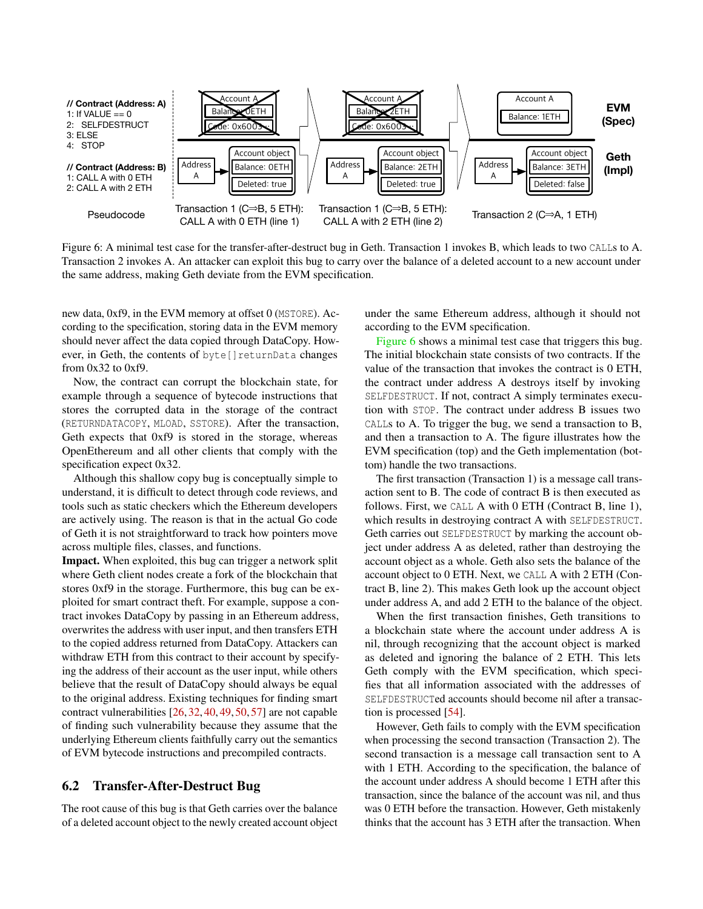<span id="page-8-1"></span>

Figure 6: A minimal test case for the transfer-after-destruct bug in Geth. Transaction 1 invokes B, which leads to two CALLs to A. Transaction 2 invokes A. An attacker can exploit this bug to carry over the balance of a deleted account to a new account under the same address, making Geth deviate from the EVM specification.

new data, 0xf9, in the EVM memory at offset 0 (MSTORE). According to the specification, storing data in the EVM memory should never affect the data copied through DataCopy. However, in Geth, the contents of byte[]returnData changes from 0x32 to 0xf9.

Now, the contract can corrupt the blockchain state, for example through a sequence of bytecode instructions that stores the corrupted data in the storage of the contract (RETURNDATACOPY, MLOAD, SSTORE). After the transaction, Geth expects that 0xf9 is stored in the storage, whereas OpenEthereum and all other clients that comply with the specification expect 0x32.

Although this shallow copy bug is conceptually simple to understand, it is difficult to detect through code reviews, and tools such as static checkers which the Ethereum developers are actively using. The reason is that in the actual Go code of Geth it is not straightforward to track how pointers move across multiple files, classes, and functions.

Impact. When exploited, this bug can trigger a network split where Geth client nodes create a fork of the blockchain that stores 0xf9 in the storage. Furthermore, this bug can be exploited for smart contract theft. For example, suppose a contract invokes DataCopy by passing in an Ethereum address, overwrites the address with user input, and then transfers ETH to the copied address returned from DataCopy. Attackers can withdraw ETH from this contract to their account by specifying the address of their account as the user input, while others believe that the result of DataCopy should always be equal to the original address. Existing techniques for finding smart contract vulnerabilities [\[26,](#page-14-12) [32,](#page-14-13) [40,](#page-15-9) [49,](#page-15-10) [50,](#page-15-11) [57\]](#page-16-0) are not capable of finding such vulnerability because they assume that the underlying Ethereum clients faithfully carry out the semantics of EVM bytecode instructions and precompiled contracts.

#### <span id="page-8-0"></span>6.2 Transfer-After-Destruct Bug

The root cause of this bug is that Geth carries over the balance of a deleted account object to the newly created account object under the same Ethereum address, although it should not according to the EVM specification.

[Figure 6](#page-8-1) shows a minimal test case that triggers this bug. The initial blockchain state consists of two contracts. If the value of the transaction that invokes the contract is 0 ETH, the contract under address A destroys itself by invoking SELFDESTRUCT. If not, contract A simply terminates execution with STOP. The contract under address B issues two CALLs to A. To trigger the bug, we send a transaction to B, and then a transaction to A. The figure illustrates how the EVM specification (top) and the Geth implementation (bottom) handle the two transactions.

The first transaction (Transaction 1) is a message call transaction sent to B. The code of contract B is then executed as follows. First, we CALL A with 0 ETH (Contract B, line 1), which results in destroying contract A with SELFDESTRUCT. Geth carries out SELFDESTRUCT by marking the account object under address A as deleted, rather than destroying the account object as a whole. Geth also sets the balance of the account object to 0 ETH. Next, we CALL A with 2 ETH (Contract B, line 2). This makes Geth look up the account object under address A, and add 2 ETH to the balance of the object.

When the first transaction finishes, Geth transitions to a blockchain state where the account under address A is nil, through recognizing that the account object is marked as deleted and ignoring the balance of 2 ETH. This lets Geth comply with the EVM specification, which specifies that all information associated with the addresses of SELFDESTRUCTed accounts should become nil after a transaction is processed [\[54\]](#page-15-0).

However, Geth fails to comply with the EVM specification when processing the second transaction (Transaction 2). The second transaction is a message call transaction sent to A with 1 ETH. According to the specification, the balance of the account under address A should become 1 ETH after this transaction, since the balance of the account was nil, and thus was 0 ETH before the transaction. However, Geth mistakenly thinks that the account has 3 ETH after the transaction. When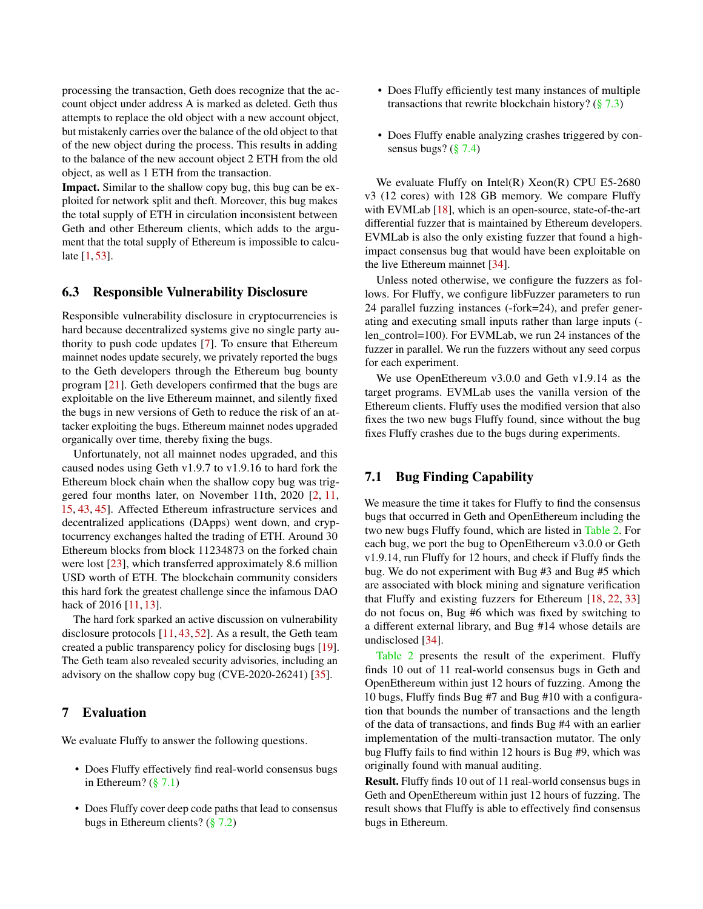processing the transaction, Geth does recognize that the account object under address A is marked as deleted. Geth thus attempts to replace the old object with a new account object, but mistakenly carries over the balance of the old object to that of the new object during the process. This results in adding to the balance of the new account object 2 ETH from the old object, as well as 1 ETH from the transaction.

Impact. Similar to the shallow copy bug, this bug can be exploited for network split and theft. Moreover, this bug makes the total supply of ETH in circulation inconsistent between Geth and other Ethereum clients, which adds to the argument that the total supply of Ethereum is impossible to calculate [\[1,](#page-13-5) [53\]](#page-15-12).

#### 6.3 Responsible Vulnerability Disclosure

Responsible vulnerability disclosure in cryptocurrencies is hard because decentralized systems give no single party authority to push code updates [\[7\]](#page-13-6). To ensure that Ethereum mainnet nodes update securely, we privately reported the bugs to the Geth developers through the Ethereum bug bounty program [\[21\]](#page-14-7). Geth developers confirmed that the bugs are exploitable on the live Ethereum mainnet, and silently fixed the bugs in new versions of Geth to reduce the risk of an attacker exploiting the bugs. Ethereum mainnet nodes upgraded organically over time, thereby fixing the bugs.

Unfortunately, not all mainnet nodes upgraded, and this caused nodes using Geth v1.9.7 to v1.9.16 to hard fork the Ethereum block chain when the shallow copy bug was triggered four months later, on November 11th, 2020 [\[2,](#page-13-1) [11,](#page-13-0) [15,](#page-14-2) [43,](#page-15-1) [45\]](#page-15-2). Affected Ethereum infrastructure services and decentralized applications (DApps) went down, and cryptocurrency exchanges halted the trading of ETH. Around 30 Ethereum blocks from block 11234873 on the forked chain were lost [\[23\]](#page-14-3), which transferred approximately 8.6 million USD worth of ETH. The blockchain community considers this hard fork the greatest challenge since the infamous DAO hack of 2016 [\[11,](#page-13-0) [13\]](#page-14-4).

The hard fork sparked an active discussion on vulnerability disclosure protocols [\[11,](#page-13-0) [43,](#page-15-1) [52\]](#page-15-13). As a result, the Geth team created a public transparency policy for disclosing bugs [\[19\]](#page-14-1). The Geth team also revealed security advisories, including an advisory on the shallow copy bug (CVE-2020-26241) [\[35\]](#page-15-14).

## 7 Evaluation

We evaluate Fluffy to answer the following questions.

- Does Fluffy effectively find real-world consensus bugs in Ethereum?  $(\S 7.1)$
- Does Fluffy cover deep code paths that lead to consensus bugs in Ethereum clients? [\(§ 7.2\)](#page-10-0)
- Does Fluffy efficiently test many instances of multiple transactions that rewrite blockchain history?  $(\frac{8}{3}, 7.3)$
- Does Fluffy enable analyzing crashes triggered by consensus bugs?  $(\S 7.4)$

We evaluate Fluffy on Intel(R) Xeon(R) CPU E5-2680 v3 (12 cores) with 128 GB memory. We compare Fluffy with EVMLab [\[18\]](#page-14-6), which is an open-source, state-of-the-art differential fuzzer that is maintained by Ethereum developers. EVMLab is also the only existing fuzzer that found a highimpact consensus bug that would have been exploitable on the live Ethereum mainnet [\[34\]](#page-15-5).

Unless noted otherwise, we configure the fuzzers as follows. For Fluffy, we configure libFuzzer parameters to run 24 parallel fuzzing instances (-fork=24), and prefer generating and executing small inputs rather than large inputs ( len\_control=100). For EVMLab, we run 24 instances of the fuzzer in parallel. We run the fuzzers without any seed corpus for each experiment.

We use OpenEthereum v3.0.0 and Geth v1.9.14 as the target programs. EVMLab uses the vanilla version of the Ethereum clients. Fluffy uses the modified version that also fixes the two new bugs Fluffy found, since without the bug fixes Fluffy crashes due to the bugs during experiments.

## <span id="page-9-0"></span>7.1 Bug Finding Capability

We measure the time it takes for Fluffy to find the consensus bugs that occurred in Geth and OpenEthereum including the two new bugs Fluffy found, which are listed in [Table 2.](#page-3-0) For each bug, we port the bug to OpenEthereum v3.0.0 or Geth v1.9.14, run Fluffy for 12 hours, and check if Fluffy finds the bug. We do not experiment with Bug #3 and Bug #5 which are associated with block mining and signature verification that Fluffy and existing fuzzers for Ethereum [\[18,](#page-14-6) [22,](#page-14-8) [33\]](#page-14-9) do not focus on, Bug #6 which was fixed by switching to a different external library, and Bug #14 whose details are undisclosed [\[34\]](#page-15-5).

[Table 2](#page-3-0) presents the result of the experiment. Fluffy finds 10 out of 11 real-world consensus bugs in Geth and OpenEthereum within just 12 hours of fuzzing. Among the 10 bugs, Fluffy finds Bug #7 and Bug #10 with a configuration that bounds the number of transactions and the length of the data of transactions, and finds Bug #4 with an earlier implementation of the multi-transaction mutator. The only bug Fluffy fails to find within 12 hours is Bug #9, which was originally found with manual auditing.

Result. Fluffy finds 10 out of 11 real-world consensus bugs in Geth and OpenEthereum within just 12 hours of fuzzing. The result shows that Fluffy is able to effectively find consensus bugs in Ethereum.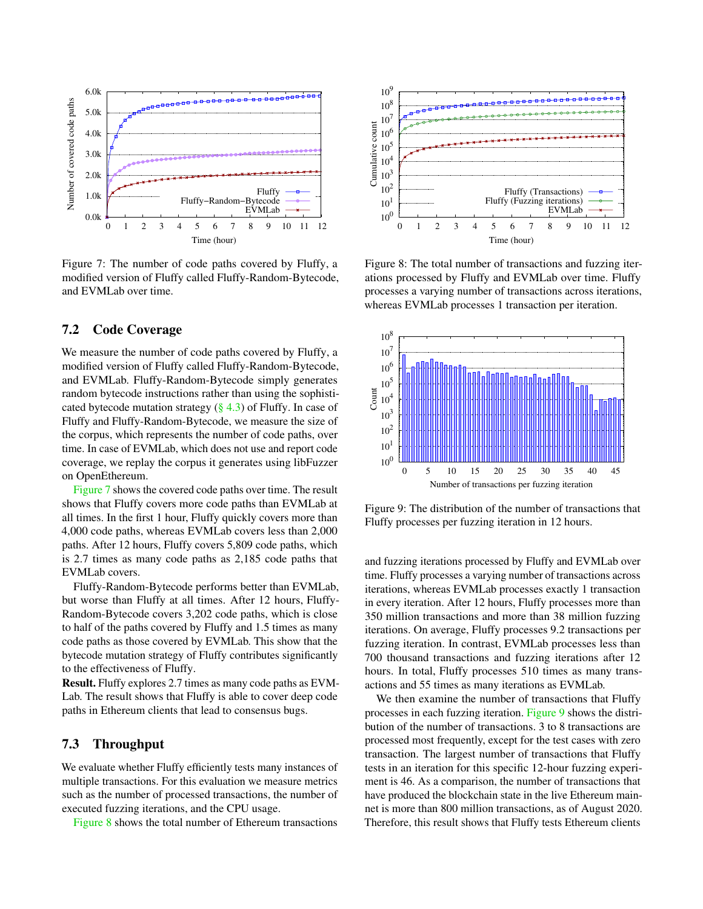<span id="page-10-2"></span>

Figure 7: The number of code paths covered by Fluffy, a modified version of Fluffy called Fluffy-Random-Bytecode, and EVMLab over time.

#### <span id="page-10-0"></span>7.2 Code Coverage

We measure the number of code paths covered by Fluffy, a modified version of Fluffy called Fluffy-Random-Bytecode, and EVMLab. Fluffy-Random-Bytecode simply generates random bytecode instructions rather than using the sophisticated bytecode mutation strategy  $(\S 4.3)$  of Fluffy. In case of Fluffy and Fluffy-Random-Bytecode, we measure the size of the corpus, which represents the number of code paths, over time. In case of EVMLab, which does not use and report code coverage, we replay the corpus it generates using libFuzzer on OpenEthereum.

[Figure 7](#page-10-2) shows the covered code paths over time. The result shows that Fluffy covers more code paths than EVMLab at all times. In the first 1 hour, Fluffy quickly covers more than 4,000 code paths, whereas EVMLab covers less than 2,000 paths. After 12 hours, Fluffy covers 5,809 code paths, which is 2.7 times as many code paths as 2,185 code paths that EVMLab covers.

Fluffy-Random-Bytecode performs better than EVMLab, but worse than Fluffy at all times. After 12 hours, Fluffy-Random-Bytecode covers 3,202 code paths, which is close to half of the paths covered by Fluffy and 1.5 times as many code paths as those covered by EVMLab. This show that the bytecode mutation strategy of Fluffy contributes significantly to the effectiveness of Fluffy.

Result. Fluffy explores 2.7 times as many code paths as EVM-Lab. The result shows that Fluffy is able to cover deep code paths in Ethereum clients that lead to consensus bugs.

## <span id="page-10-1"></span>7.3 Throughput

We evaluate whether Fluffy efficiently tests many instances of multiple transactions. For this evaluation we measure metrics such as the number of processed transactions, the number of executed fuzzing iterations, and the CPU usage.

[Figure 8](#page-10-3) shows the total number of Ethereum transactions

<span id="page-10-3"></span>

Figure 8: The total number of transactions and fuzzing iterations processed by Fluffy and EVMLab over time. Fluffy processes a varying number of transactions across iterations, whereas EVMLab processes 1 transaction per iteration.

<span id="page-10-4"></span>

Figure 9: The distribution of the number of transactions that Fluffy processes per fuzzing iteration in 12 hours.

and fuzzing iterations processed by Fluffy and EVMLab over time. Fluffy processes a varying number of transactions across iterations, whereas EVMLab processes exactly 1 transaction in every iteration. After 12 hours, Fluffy processes more than 350 million transactions and more than 38 million fuzzing iterations. On average, Fluffy processes 9.2 transactions per fuzzing iteration. In contrast, EVMLab processes less than 700 thousand transactions and fuzzing iterations after 12 hours. In total, Fluffy processes 510 times as many transactions and 55 times as many iterations as EVMLab.

We then examine the number of transactions that Fluffy processes in each fuzzing iteration. [Figure 9](#page-10-4) shows the distribution of the number of transactions. 3 to 8 transactions are processed most frequently, except for the test cases with zero transaction. The largest number of transactions that Fluffy tests in an iteration for this specific 12-hour fuzzing experiment is 46. As a comparison, the number of transactions that have produced the blockchain state in the live Ethereum mainnet is more than 800 million transactions, as of August 2020. Therefore, this result shows that Fluffy tests Ethereum clients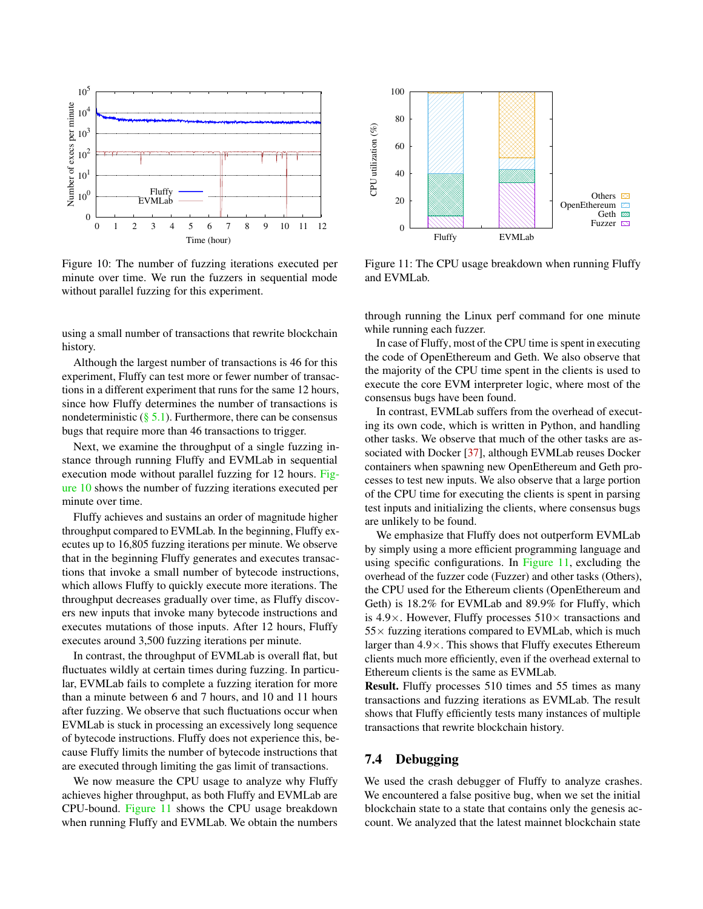<span id="page-11-1"></span>

Figure 10: The number of fuzzing iterations executed per minute over time. We run the fuzzers in sequential mode without parallel fuzzing for this experiment.

using a small number of transactions that rewrite blockchain history.

Although the largest number of transactions is 46 for this experiment, Fluffy can test more or fewer number of transactions in a different experiment that runs for the same 12 hours, since how Fluffy determines the number of transactions is nondeterministic  $(\S 5.1)$ . Furthermore, there can be consensus bugs that require more than 46 transactions to trigger.

Next, we examine the throughput of a single fuzzing instance through running Fluffy and EVMLab in sequential execution mode without parallel fuzzing for 12 hours. [Fig](#page-11-1)[ure 10](#page-11-1) shows the number of fuzzing iterations executed per minute over time.

Fluffy achieves and sustains an order of magnitude higher throughput compared to EVMLab. In the beginning, Fluffy executes up to 16,805 fuzzing iterations per minute. We observe that in the beginning Fluffy generates and executes transactions that invoke a small number of bytecode instructions, which allows Fluffy to quickly execute more iterations. The throughput decreases gradually over time, as Fluffy discovers new inputs that invoke many bytecode instructions and executes mutations of those inputs. After 12 hours, Fluffy executes around 3,500 fuzzing iterations per minute.

In contrast, the throughput of EVMLab is overall flat, but fluctuates wildly at certain times during fuzzing. In particular, EVMLab fails to complete a fuzzing iteration for more than a minute between 6 and 7 hours, and 10 and 11 hours after fuzzing. We observe that such fluctuations occur when EVMLab is stuck in processing an excessively long sequence of bytecode instructions. Fluffy does not experience this, because Fluffy limits the number of bytecode instructions that are executed through limiting the gas limit of transactions.

We now measure the CPU usage to analyze why Fluffy achieves higher throughput, as both Fluffy and EVMLab are CPU-bound. [Figure 11](#page-11-2) shows the CPU usage breakdown when running Fluffy and EVMLab. We obtain the numbers

<span id="page-11-2"></span>

Figure 11: The CPU usage breakdown when running Fluffy and EVMLab.

through running the Linux perf command for one minute while running each fuzzer.

In case of Fluffy, most of the CPU time is spent in executing the code of OpenEthereum and Geth. We also observe that the majority of the CPU time spent in the clients is used to execute the core EVM interpreter logic, where most of the consensus bugs have been found.

In contrast, EVMLab suffers from the overhead of executing its own code, which is written in Python, and handling other tasks. We observe that much of the other tasks are associated with Docker [\[37\]](#page-15-15), although EVMLab reuses Docker containers when spawning new OpenEthereum and Geth processes to test new inputs. We also observe that a large portion of the CPU time for executing the clients is spent in parsing test inputs and initializing the clients, where consensus bugs are unlikely to be found.

We emphasize that Fluffy does not outperform EVMLab by simply using a more efficient programming language and using specific configurations. In [Figure 11,](#page-11-2) excluding the overhead of the fuzzer code (Fuzzer) and other tasks (Others), the CPU used for the Ethereum clients (OpenEthereum and Geth) is 18.2% for EVMLab and 89.9% for Fluffy, which is 4.9 $\times$ . However, Fluffy processes 510 $\times$  transactions and  $55\times$  fuzzing iterations compared to EVMLab, which is much larger than  $4.9 \times$ . This shows that Fluffy executes Ethereum clients much more efficiently, even if the overhead external to Ethereum clients is the same as EVMLab.

Result. Fluffy processes 510 times and 55 times as many transactions and fuzzing iterations as EVMLab. The result shows that Fluffy efficiently tests many instances of multiple transactions that rewrite blockchain history.

#### <span id="page-11-0"></span>7.4 Debugging

We used the crash debugger of Fluffy to analyze crashes. We encountered a false positive bug, when we set the initial blockchain state to a state that contains only the genesis account. We analyzed that the latest mainnet blockchain state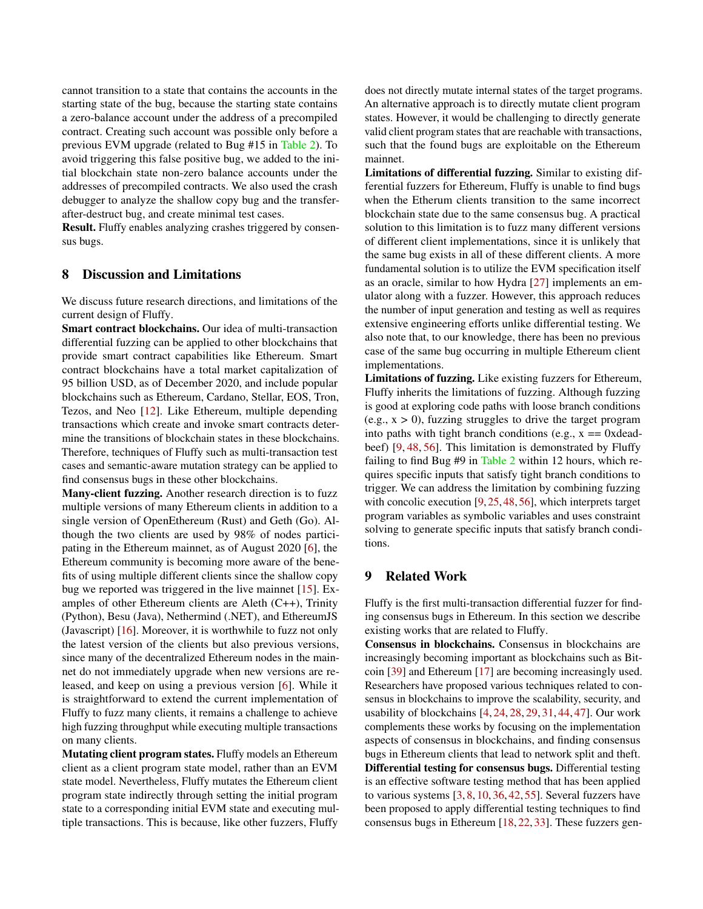cannot transition to a state that contains the accounts in the starting state of the bug, because the starting state contains a zero-balance account under the address of a precompiled contract. Creating such account was possible only before a previous EVM upgrade (related to Bug #15 in [Table 2\)](#page-3-0). To avoid triggering this false positive bug, we added to the initial blockchain state non-zero balance accounts under the addresses of precompiled contracts. We also used the crash debugger to analyze the shallow copy bug and the transferafter-destruct bug, and create minimal test cases.

Result. Fluffy enables analyzing crashes triggered by consensus bugs.

## 8 Discussion and Limitations

We discuss future research directions, and limitations of the current design of Fluffy.

Smart contract blockchains. Our idea of multi-transaction differential fuzzing can be applied to other blockchains that provide smart contract capabilities like Ethereum. Smart contract blockchains have a total market capitalization of 95 billion USD, as of December 2020, and include popular blockchains such as Ethereum, Cardano, Stellar, EOS, Tron, Tezos, and Neo [\[12\]](#page-14-14). Like Ethereum, multiple depending transactions which create and invoke smart contracts determine the transitions of blockchain states in these blockchains. Therefore, techniques of Fluffy such as multi-transaction test cases and semantic-aware mutation strategy can be applied to find consensus bugs in these other blockchains.

Many-client fuzzing. Another research direction is to fuzz multiple versions of many Ethereum clients in addition to a single version of OpenEthereum (Rust) and Geth (Go). Although the two clients are used by 98% of nodes participating in the Ethereum mainnet, as of August 2020 [\[6\]](#page-13-4), the Ethereum community is becoming more aware of the benefits of using multiple different clients since the shallow copy bug we reported was triggered in the live mainnet [\[15\]](#page-14-2). Examples of other Ethereum clients are Aleth (C++), Trinity (Python), Besu (Java), Nethermind (.NET), and EthereumJS (Javascript) [\[16\]](#page-14-15). Moreover, it is worthwhile to fuzz not only the latest version of the clients but also previous versions, since many of the decentralized Ethereum nodes in the mainnet do not immediately upgrade when new versions are released, and keep on using a previous version [\[6\]](#page-13-4). While it is straightforward to extend the current implementation of Fluffy to fuzz many clients, it remains a challenge to achieve high fuzzing throughput while executing multiple transactions on many clients.

Mutating client program states. Fluffy models an Ethereum client as a client program state model, rather than an EVM state model. Nevertheless, Fluffy mutates the Ethereum client program state indirectly through setting the initial program state to a corresponding initial EVM state and executing multiple transactions. This is because, like other fuzzers, Fluffy does not directly mutate internal states of the target programs. An alternative approach is to directly mutate client program states. However, it would be challenging to directly generate valid client program states that are reachable with transactions, such that the found bugs are exploitable on the Ethereum mainnet.

Limitations of differential fuzzing. Similar to existing differential fuzzers for Ethereum, Fluffy is unable to find bugs when the Etherum clients transition to the same incorrect blockchain state due to the same consensus bug. A practical solution to this limitation is to fuzz many different versions of different client implementations, since it is unlikely that the same bug exists in all of these different clients. A more fundamental solution is to utilize the EVM specification itself as an oracle, similar to how Hydra [\[27\]](#page-14-16) implements an emulator along with a fuzzer. However, this approach reduces the number of input generation and testing as well as requires extensive engineering efforts unlike differential testing. We also note that, to our knowledge, there has been no previous case of the same bug occurring in multiple Ethereum client implementations.

Limitations of fuzzing. Like existing fuzzers for Ethereum, Fluffy inherits the limitations of fuzzing. Although fuzzing is good at exploring code paths with loose branch conditions  $(e.g., x > 0)$ , fuzzing struggles to drive the target program into paths with tight branch conditions (e.g.,  $x = 0x$  deadbeef) [\[9,](#page-13-2) [48,](#page-15-16) [56\]](#page-16-1). This limitation is demonstrated by Fluffy failing to find Bug #9 in [Table 2](#page-3-0) within 12 hours, which requires specific inputs that satisfy tight branch conditions to trigger. We can address the limitation by combining fuzzing with concolic execution [\[9,](#page-13-2) [25,](#page-14-17) [48,](#page-15-16) [56\]](#page-16-1), which interprets target program variables as symbolic variables and uses constraint solving to generate specific inputs that satisfy branch conditions.

## 9 Related Work

Fluffy is the first multi-transaction differential fuzzer for finding consensus bugs in Ethereum. In this section we describe existing works that are related to Fluffy.

Consensus in blockchains. Consensus in blockchains are increasingly becoming important as blockchains such as Bitcoin [\[39\]](#page-15-8) and Ethereum [\[17\]](#page-14-0) are becoming increasingly used. Researchers have proposed various techniques related to consensus in blockchains to improve the scalability, security, and usability of blockchains [\[4,](#page-13-7) [24,](#page-14-18) [28,](#page-14-19) [29,](#page-14-20) [31,](#page-14-21) [44,](#page-15-17) [47\]](#page-15-18). Our work complements these works by focusing on the implementation aspects of consensus in blockchains, and finding consensus bugs in Ethereum clients that lead to network split and theft. Differential testing for consensus bugs. Differential testing is an effective software testing method that has been applied to various systems  $[3, 8, 10, 36, 42, 55]$  $[3, 8, 10, 36, 42, 55]$  $[3, 8, 10, 36, 42, 55]$  $[3, 8, 10, 36, 42, 55]$  $[3, 8, 10, 36, 42, 55]$  $[3, 8, 10, 36, 42, 55]$  $[3, 8, 10, 36, 42, 55]$  $[3, 8, 10, 36, 42, 55]$  $[3, 8, 10, 36, 42, 55]$  $[3, 8, 10, 36, 42, 55]$  $[3, 8, 10, 36, 42, 55]$ . Several fuzzers have been proposed to apply differential testing techniques to find consensus bugs in Ethereum [\[18,](#page-14-6) [22,](#page-14-8) [33\]](#page-14-9). These fuzzers gen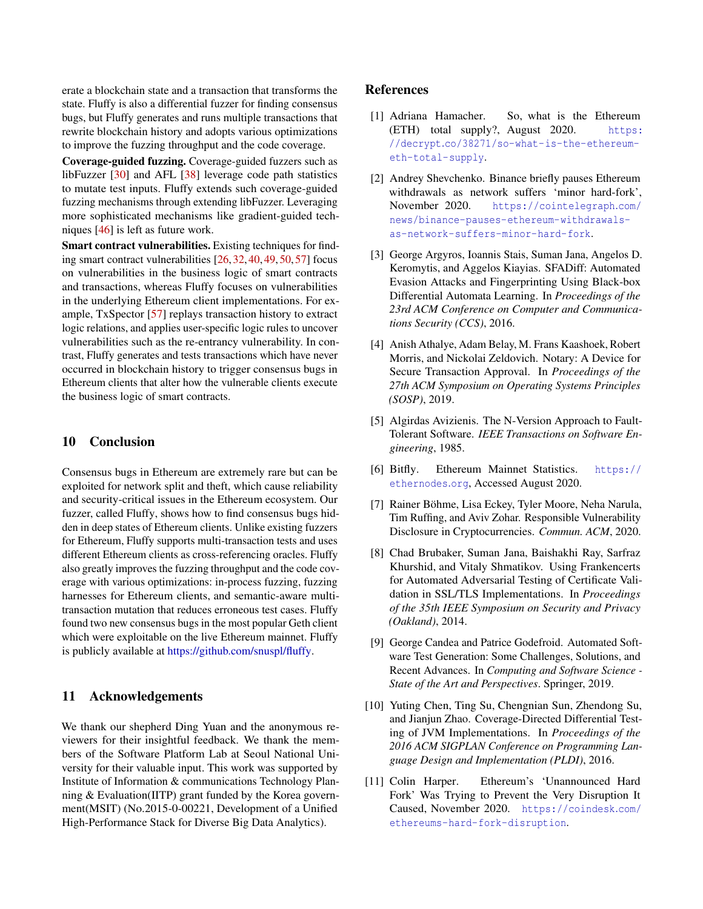erate a blockchain state and a transaction that transforms the state. Fluffy is also a differential fuzzer for finding consensus bugs, but Fluffy generates and runs multiple transactions that rewrite blockchain history and adopts various optimizations to improve the fuzzing throughput and the code coverage.

Coverage-guided fuzzing. Coverage-guided fuzzers such as libFuzzer [\[30\]](#page-14-5) and AFL [\[38\]](#page-15-3) leverage code path statistics to mutate test inputs. Fluffy extends such coverage-guided fuzzing mechanisms through extending libFuzzer. Leveraging more sophisticated mechanisms like gradient-guided techniques [\[46\]](#page-15-21) is left as future work.

Smart contract vulnerabilities. Existing techniques for finding smart contract vulnerabilities [\[26,](#page-14-12) [32,](#page-14-13) [40,](#page-15-9) [49,](#page-15-10) [50,](#page-15-11) [57\]](#page-16-0) focus on vulnerabilities in the business logic of smart contracts and transactions, whereas Fluffy focuses on vulnerabilities in the underlying Ethereum client implementations. For example, TxSpector [\[57\]](#page-16-0) replays transaction history to extract logic relations, and applies user-specific logic rules to uncover vulnerabilities such as the re-entrancy vulnerability. In contrast, Fluffy generates and tests transactions which have never occurred in blockchain history to trigger consensus bugs in Ethereum clients that alter how the vulnerable clients execute the business logic of smart contracts.

#### 10 Conclusion

Consensus bugs in Ethereum are extremely rare but can be exploited for network split and theft, which cause reliability and security-critical issues in the Ethereum ecosystem. Our fuzzer, called Fluffy, shows how to find consensus bugs hidden in deep states of Ethereum clients. Unlike existing fuzzers for Ethereum, Fluffy supports multi-transaction tests and uses different Ethereum clients as cross-referencing oracles. Fluffy also greatly improves the fuzzing throughput and the code coverage with various optimizations: in-process fuzzing, fuzzing harnesses for Ethereum clients, and semantic-aware multitransaction mutation that reduces erroneous test cases. Fluffy found two new consensus bugs in the most popular Geth client which were exploitable on the live Ethereum mainnet. Fluffy is publicly available at [https://github.com/snuspl/fluffy.](https://github.com/snuspl/fluffy)

### 11 Acknowledgements

We thank our shepherd Ding Yuan and the anonymous reviewers for their insightful feedback. We thank the members of the Software Platform Lab at Seoul National University for their valuable input. This work was supported by Institute of Information & communications Technology Planning & Evaluation(IITP) grant funded by the Korea government(MSIT) (No.2015-0-00221, Development of a Unified High-Performance Stack for Diverse Big Data Analytics).

#### References

- <span id="page-13-5"></span>[1] Adriana Hamacher. So, what is the Ethereum (ETH) total supply?, August 2020. [https:](https://decrypt.co/38271/so-what-is-the-ethereum-eth-total-supply) //decrypt.[co/38271/so-what-is-the-ethereum](https://decrypt.co/38271/so-what-is-the-ethereum-eth-total-supply)[eth-total-supply](https://decrypt.co/38271/so-what-is-the-ethereum-eth-total-supply).
- <span id="page-13-1"></span>[2] Andrey Shevchenko. Binance briefly pauses Ethereum withdrawals as network suffers 'minor hard-fork', November 2020. [https://cointelegraph](https://cointelegraph.com/news/binance-pauses-ethereum-withdrawals-as-network-suffers-minor-hard-fork).com/ [news/binance-pauses-ethereum-withdrawals](https://cointelegraph.com/news/binance-pauses-ethereum-withdrawals-as-network-suffers-minor-hard-fork)[as-network-suffers-minor-hard-fork](https://cointelegraph.com/news/binance-pauses-ethereum-withdrawals-as-network-suffers-minor-hard-fork).
- <span id="page-13-8"></span>[3] George Argyros, Ioannis Stais, Suman Jana, Angelos D. Keromytis, and Aggelos Kiayias. SFADiff: Automated Evasion Attacks and Fingerprinting Using Black-box Differential Automata Learning. In *Proceedings of the 23rd ACM Conference on Computer and Communications Security (CCS)*, 2016.
- <span id="page-13-7"></span>[4] Anish Athalye, Adam Belay, M. Frans Kaashoek, Robert Morris, and Nickolai Zeldovich. Notary: A Device for Secure Transaction Approval. In *Proceedings of the 27th ACM Symposium on Operating Systems Principles (SOSP)*, 2019.
- <span id="page-13-3"></span>[5] Algirdas Avizienis. The N-Version Approach to Fault-Tolerant Software. *IEEE Transactions on Software Engineering*, 1985.
- <span id="page-13-4"></span>[6] Bitfly. Ethereum Mainnet Statistics. [https://](https://ethernodes.org) [ethernodes](https://ethernodes.org).org, Accessed August 2020.
- <span id="page-13-6"></span>[7] Rainer Böhme, Lisa Eckey, Tyler Moore, Neha Narula, Tim Ruffing, and Aviv Zohar. Responsible Vulnerability Disclosure in Cryptocurrencies. *Commun. ACM*, 2020.
- <span id="page-13-9"></span>[8] Chad Brubaker, Suman Jana, Baishakhi Ray, Sarfraz Khurshid, and Vitaly Shmatikov. Using Frankencerts for Automated Adversarial Testing of Certificate Validation in SSL/TLS Implementations. In *Proceedings of the 35th IEEE Symposium on Security and Privacy (Oakland)*, 2014.
- <span id="page-13-2"></span>[9] George Candea and Patrice Godefroid. Automated Software Test Generation: Some Challenges, Solutions, and Recent Advances. In *Computing and Software Science - State of the Art and Perspectives*. Springer, 2019.
- <span id="page-13-10"></span>[10] Yuting Chen, Ting Su, Chengnian Sun, Zhendong Su, and Jianjun Zhao. Coverage-Directed Differential Testing of JVM Implementations. In *Proceedings of the 2016 ACM SIGPLAN Conference on Programming Language Design and Implementation (PLDI)*, 2016.
- <span id="page-13-0"></span>[11] Colin Harper. Ethereum's 'Unannounced Hard Fork' Was Trying to Prevent the Very Disruption It Caused, November 2020. [https://coindesk](https://coindesk.com/ethereums-hard-fork-disruption).com/ [ethereums-hard-fork-disruption](https://coindesk.com/ethereums-hard-fork-disruption).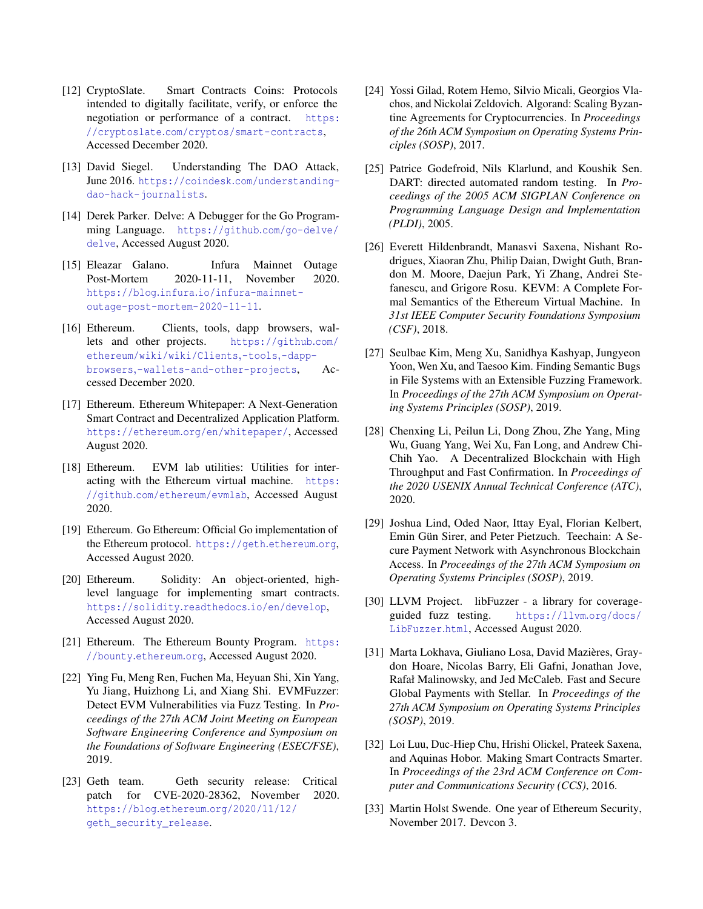- <span id="page-14-14"></span>[12] CryptoSlate. Smart Contracts Coins: Protocols intended to digitally facilitate, verify, or enforce the negotiation or performance of a contract. [https:](https://cryptoslate.com/cryptos/smart-contracts) //cryptoslate.[com/cryptos/smart-contracts](https://cryptoslate.com/cryptos/smart-contracts), Accessed December 2020.
- <span id="page-14-4"></span>[13] David Siegel. Understanding The DAO Attack, June 2016. https://coindesk.[com/understanding](https://coindesk.com/understanding-dao-hack-journalists)[dao-hack-journalists](https://coindesk.com/understanding-dao-hack-journalists).
- <span id="page-14-11"></span>[14] Derek Parker. Delve: A Debugger for the Go Programming Language. [https://github](https://github.com/go-delve/delve).com/go-delve/ [delve](https://github.com/go-delve/delve), Accessed August 2020.
- <span id="page-14-2"></span>[15] Eleazar Galano. Infura Mainnet Outage Post-Mortem 2020-11-11, November 2020. https://blog.infura.[io/infura-mainnet](https://blog.infura.io/infura-mainnet-outage-post-mortem-2020-11-11)[outage-post-mortem-2020-11-11](https://blog.infura.io/infura-mainnet-outage-post-mortem-2020-11-11).
- <span id="page-14-15"></span>[16] Ethereum. Clients, tools, dapp browsers, wallets and other projects. [https://github](https://github.com/ethereum/wiki/wiki/Clients,-tools,-dapp-browsers,-wallets-and-other-projects).com/ [ethereum/wiki/wiki/Clients](https://github.com/ethereum/wiki/wiki/Clients,-tools,-dapp-browsers,-wallets-and-other-projects),-tools,-dappbrowsers,[-wallets-and-other-projects](https://github.com/ethereum/wiki/wiki/Clients,-tools,-dapp-browsers,-wallets-and-other-projects), Accessed December 2020.
- <span id="page-14-0"></span>[17] Ethereum. Ethereum Whitepaper: A Next-Generation Smart Contract and Decentralized Application Platform. https://ethereum.[org/en/whitepaper/](https://ethereum.org/en/whitepaper/), Accessed August 2020.
- <span id="page-14-6"></span>[18] Ethereum. EVM lab utilities: Utilities for interacting with the Ethereum virtual machine. [https:](https://github.com/ethereum/evmlab) //github.[com/ethereum/evmlab](https://github.com/ethereum/evmlab), Accessed August 2020.
- <span id="page-14-1"></span>[19] Ethereum. Go Ethereum: Official Go implementation of the Ethereum protocol. [https://geth](https://geth.ethereum.org).ethereum.org, Accessed August 2020.
- <span id="page-14-10"></span>[20] Ethereum. Solidity: An object-oriented, highlevel language for implementing smart contracts. [https://solidity](https://solidity.readthedocs.io/en/develop).readthedocs.io/en/develop, Accessed August 2020.
- <span id="page-14-7"></span>[21] Ethereum. The Ethereum Bounty Program. [https:](https://bounty.ethereum.org) //bounty.[ethereum](https://bounty.ethereum.org).org, Accessed August 2020.
- <span id="page-14-8"></span>[22] Ying Fu, Meng Ren, Fuchen Ma, Heyuan Shi, Xin Yang, Yu Jiang, Huizhong Li, and Xiang Shi. EVMFuzzer: Detect EVM Vulnerabilities via Fuzz Testing. In *Proceedings of the 27th ACM Joint Meeting on European Software Engineering Conference and Symposium on the Foundations of Software Engineering (ESEC/FSE)*, 2019.
- <span id="page-14-3"></span>[23] Geth team. Geth security release: Critical patch for CVE-2020-28362, November 2020. https://blog.ethereum.[org/2020/11/12/](https://blog.ethereum.org/2020/11/12/geth_security_release) [geth\\_security\\_release](https://blog.ethereum.org/2020/11/12/geth_security_release).
- <span id="page-14-18"></span>[24] Yossi Gilad, Rotem Hemo, Silvio Micali, Georgios Vlachos, and Nickolai Zeldovich. Algorand: Scaling Byzantine Agreements for Cryptocurrencies. In *Proceedings of the 26th ACM Symposium on Operating Systems Principles (SOSP)*, 2017.
- <span id="page-14-17"></span>[25] Patrice Godefroid, Nils Klarlund, and Koushik Sen. DART: directed automated random testing. In *Proceedings of the 2005 ACM SIGPLAN Conference on Programming Language Design and Implementation (PLDI)*, 2005.
- <span id="page-14-12"></span>[26] Everett Hildenbrandt, Manasvi Saxena, Nishant Rodrigues, Xiaoran Zhu, Philip Daian, Dwight Guth, Brandon M. Moore, Daejun Park, Yi Zhang, Andrei Stefanescu, and Grigore Rosu. KEVM: A Complete Formal Semantics of the Ethereum Virtual Machine. In *31st IEEE Computer Security Foundations Symposium (CSF)*, 2018.
- <span id="page-14-16"></span>[27] Seulbae Kim, Meng Xu, Sanidhya Kashyap, Jungyeon Yoon, Wen Xu, and Taesoo Kim. Finding Semantic Bugs in File Systems with an Extensible Fuzzing Framework. In *Proceedings of the 27th ACM Symposium on Operating Systems Principles (SOSP)*, 2019.
- <span id="page-14-19"></span>[28] Chenxing Li, Peilun Li, Dong Zhou, Zhe Yang, Ming Wu, Guang Yang, Wei Xu, Fan Long, and Andrew Chi-Chih Yao. A Decentralized Blockchain with High Throughput and Fast Confirmation. In *Proceedings of the 2020 USENIX Annual Technical Conference (ATC)*, 2020.
- <span id="page-14-20"></span>[29] Joshua Lind, Oded Naor, Ittay Eyal, Florian Kelbert, Emin Gün Sirer, and Peter Pietzuch. Teechain: A Secure Payment Network with Asynchronous Blockchain Access. In *Proceedings of the 27th ACM Symposium on Operating Systems Principles (SOSP)*, 2019.
- <span id="page-14-5"></span>[30] LLVM Project. libFuzzer - a library for coverageguided fuzz testing. [https://llvm](https://llvm.org/docs/LibFuzzer.html).org/docs/ [LibFuzzer](https://llvm.org/docs/LibFuzzer.html).html, Accessed August 2020.
- <span id="page-14-21"></span>[31] Marta Lokhava, Giuliano Losa, David Mazières, Graydon Hoare, Nicolas Barry, Eli Gafni, Jonathan Jove, Rafał Malinowsky, and Jed McCaleb. Fast and Secure Global Payments with Stellar. In *Proceedings of the 27th ACM Symposium on Operating Systems Principles (SOSP)*, 2019.
- <span id="page-14-13"></span>[32] Loi Luu, Duc-Hiep Chu, Hrishi Olickel, Prateek Saxena, and Aquinas Hobor. Making Smart Contracts Smarter. In *Proceedings of the 23rd ACM Conference on Computer and Communications Security (CCS)*, 2016.
- <span id="page-14-9"></span>[33] Martin Holst Swende. One year of Ethereum Security, November 2017. Devcon 3.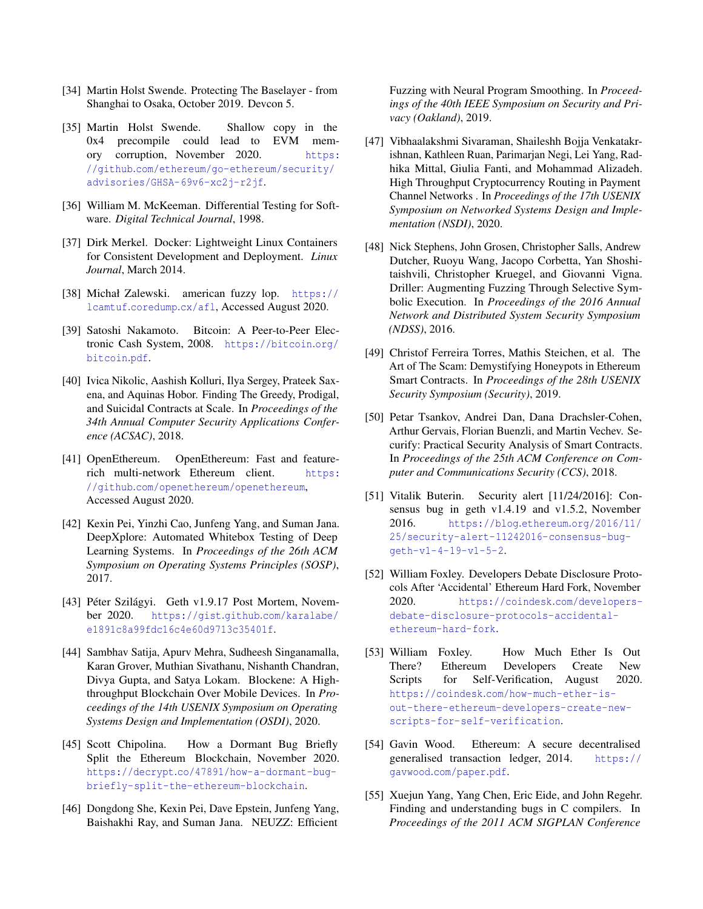- <span id="page-15-5"></span>[34] Martin Holst Swende. Protecting The Baselayer - from Shanghai to Osaka, October 2019. Devcon 5.
- <span id="page-15-14"></span>[35] Martin Holst Swende. Shallow copy in the 0x4 precompile could lead to EVM memory corruption, November 2020. [https:](https://github.com/ethereum/go-ethereum/security/advisories/GHSA-69v6-xc2j-r2jf) //github.[com/ethereum/go-ethereum/security/](https://github.com/ethereum/go-ethereum/security/advisories/GHSA-69v6-xc2j-r2jf) [advisories/GHSA-69v6-xc2j-r2jf](https://github.com/ethereum/go-ethereum/security/advisories/GHSA-69v6-xc2j-r2jf).
- <span id="page-15-6"></span>[36] William M. McKeeman. Differential Testing for Software. *Digital Technical Journal*, 1998.
- <span id="page-15-15"></span>[37] Dirk Merkel. Docker: Lightweight Linux Containers for Consistent Development and Deployment. *Linux Journal*, March 2014.
- <span id="page-15-3"></span>[38] Michał Zalewski. american fuzzy lop. [https://](https://lcamtuf.coredump.cx/afl) lcamtuf.[coredump](https://lcamtuf.coredump.cx/afl).cx/afl, Accessed August 2020.
- <span id="page-15-8"></span>[39] Satoshi Nakamoto. Bitcoin: A Peer-to-Peer Electronic Cash System, 2008. [https://bitcoin](https://bitcoin.org/bitcoin.pdf).org/ [bitcoin](https://bitcoin.org/bitcoin.pdf).pdf.
- <span id="page-15-9"></span>[40] Ivica Nikolic, Aashish Kolluri, Ilya Sergey, Prateek Saxena, and Aquinas Hobor. Finding The Greedy, Prodigal, and Suicidal Contracts at Scale. In *Proceedings of the 34th Annual Computer Security Applications Conference (ACSAC)*, 2018.
- <span id="page-15-4"></span>[41] OpenEthereum. OpenEthereum: Fast and featurerich multi-network Ethereum client. [https:](https://github.com/openethereum/openethereum) //github.[com/openethereum/openethereum](https://github.com/openethereum/openethereum), Accessed August 2020.
- <span id="page-15-19"></span>[42] Kexin Pei, Yinzhi Cao, Junfeng Yang, and Suman Jana. DeepXplore: Automated Whitebox Testing of Deep Learning Systems. In *Proceedings of the 26th ACM Symposium on Operating Systems Principles (SOSP)*, 2017.
- <span id="page-15-1"></span>[43] Péter Szilágyi. Geth v1.9.17 Post Mortem, November 2020. https://gist.github.[com/karalabe/](https://gist.github.com/karalabe/e1891c8a99fdc16c4e60d9713c35401f) [e1891c8a99fdc16c4e60d9713c35401f](https://gist.github.com/karalabe/e1891c8a99fdc16c4e60d9713c35401f).
- <span id="page-15-17"></span>[44] Sambhav Satija, Apurv Mehra, Sudheesh Singanamalla, Karan Grover, Muthian Sivathanu, Nishanth Chandran, Divya Gupta, and Satya Lokam. Blockene: A Highthroughput Blockchain Over Mobile Devices. In *Proceedings of the 14th USENIX Symposium on Operating Systems Design and Implementation (OSDI)*, 2020.
- <span id="page-15-2"></span>[45] Scott Chipolina. How a Dormant Bug Briefly Split the Ethereum Blockchain, November 2020. https://decrypt.[co/47891/how-a-dormant-bug](https://decrypt.co/47891/how-a-dormant-bug-briefly-split-the-ethereum-blockchain)[briefly-split-the-ethereum-blockchain](https://decrypt.co/47891/how-a-dormant-bug-briefly-split-the-ethereum-blockchain).
- <span id="page-15-21"></span>[46] Dongdong She, Kexin Pei, Dave Epstein, Junfeng Yang, Baishakhi Ray, and Suman Jana. NEUZZ: Efficient

Fuzzing with Neural Program Smoothing. In *Proceedings of the 40th IEEE Symposium on Security and Privacy (Oakland)*, 2019.

- <span id="page-15-18"></span>[47] Vibhaalakshmi Sivaraman, Shaileshh Bojja Venkatakrishnan, Kathleen Ruan, Parimarjan Negi, Lei Yang, Radhika Mittal, Giulia Fanti, and Mohammad Alizadeh. High Throughput Cryptocurrency Routing in Payment Channel Networks . In *Proceedings of the 17th USENIX Symposium on Networked Systems Design and Implementation (NSDI)*, 2020.
- <span id="page-15-16"></span>[48] Nick Stephens, John Grosen, Christopher Salls, Andrew Dutcher, Ruoyu Wang, Jacopo Corbetta, Yan Shoshitaishvili, Christopher Kruegel, and Giovanni Vigna. Driller: Augmenting Fuzzing Through Selective Symbolic Execution. In *Proceedings of the 2016 Annual Network and Distributed System Security Symposium (NDSS)*, 2016.
- <span id="page-15-10"></span>[49] Christof Ferreira Torres, Mathis Steichen, et al. The Art of The Scam: Demystifying Honeypots in Ethereum Smart Contracts. In *Proceedings of the 28th USENIX Security Symposium (Security)*, 2019.
- <span id="page-15-11"></span>[50] Petar Tsankov, Andrei Dan, Dana Drachsler-Cohen, Arthur Gervais, Florian Buenzli, and Martin Vechev. Securify: Practical Security Analysis of Smart Contracts. In *Proceedings of the 25th ACM Conference on Computer and Communications Security (CCS)*, 2018.
- <span id="page-15-7"></span>[51] Vitalik Buterin. Security alert [11/24/2016]: Consensus bug in geth v1.4.19 and v1.5.2, November 2016. [https://blog](https://blog.ethereum.org/2016/11/25/security-alert-11242016-consensus-bug-geth-v1-4-19-v1-5-2).ethereum.org/2016/11/ [25/security-alert-11242016-consensus-bug](https://blog.ethereum.org/2016/11/25/security-alert-11242016-consensus-bug-geth-v1-4-19-v1-5-2)[geth-v1-4-19-v1-5-2](https://blog.ethereum.org/2016/11/25/security-alert-11242016-consensus-bug-geth-v1-4-19-v1-5-2).
- <span id="page-15-13"></span>[52] William Foxley. Developers Debate Disclosure Protocols After 'Accidental' Ethereum Hard Fork, November 2020. [https://coindesk](https://coindesk.com/developers-debate-disclosure-protocols-accidental-ethereum-hard-fork).com/developers[debate-disclosure-protocols-accidental](https://coindesk.com/developers-debate-disclosure-protocols-accidental-ethereum-hard-fork)[ethereum-hard-fork](https://coindesk.com/developers-debate-disclosure-protocols-accidental-ethereum-hard-fork).
- <span id="page-15-12"></span>[53] William Foxley. How Much Ether Is Out There? Ethereum Developers Create New Scripts for Self-Verification, August 2020. https://coindesk.[com/how-much-ether-is](https://coindesk.com/how-much-ether-is-out-there-ethereum-developers-create-new-scripts-for-self-verification)[out-there-ethereum-developers-create-new](https://coindesk.com/how-much-ether-is-out-there-ethereum-developers-create-new-scripts-for-self-verification)[scripts-for-self-verification](https://coindesk.com/how-much-ether-is-out-there-ethereum-developers-create-new-scripts-for-self-verification).
- <span id="page-15-0"></span>[54] Gavin Wood. Ethereum: A secure decentralised generalised transaction ledger, 2014. [https://](https://gavwood.com/paper.pdf) gavwood.[com/paper](https://gavwood.com/paper.pdf).pdf.
- <span id="page-15-20"></span>[55] Xuejun Yang, Yang Chen, Eric Eide, and John Regehr. Finding and understanding bugs in C compilers. In *Proceedings of the 2011 ACM SIGPLAN Conference*